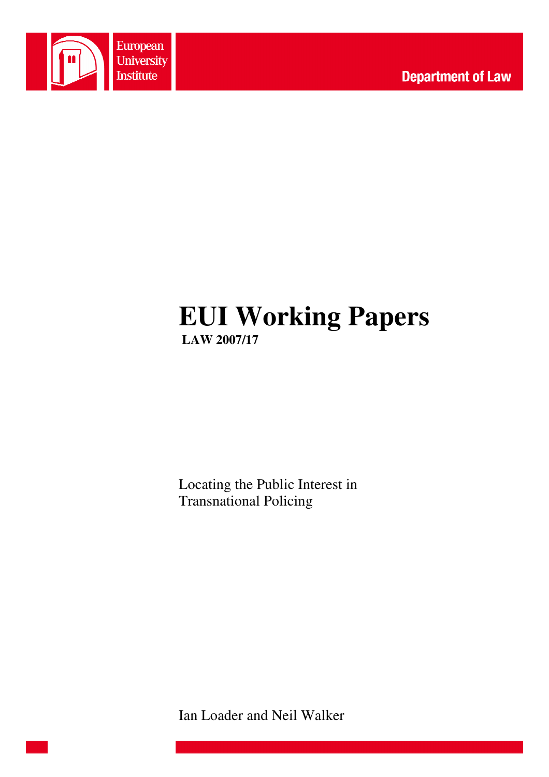

# **EUI Working Papers LAW 2007/17**

Locating the Public Interest in Transnational Policing

Ian Loader and Neil Walker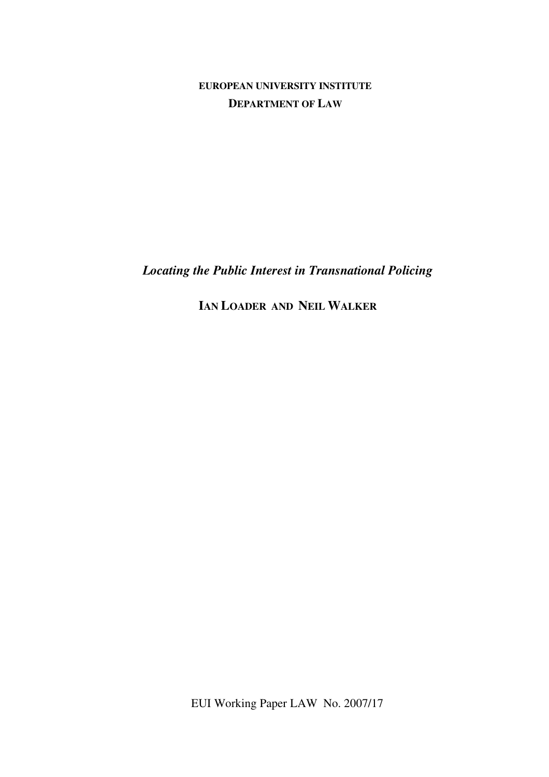**EUROPEAN UNIVERSITY INSTITUTE DEPARTMENT OF LAW**

*Locating the Public Interest in Transnational Policing* 

**IAN LOADER AND NEIL WALKER**

EUI Working Paper LAW No. 2007/17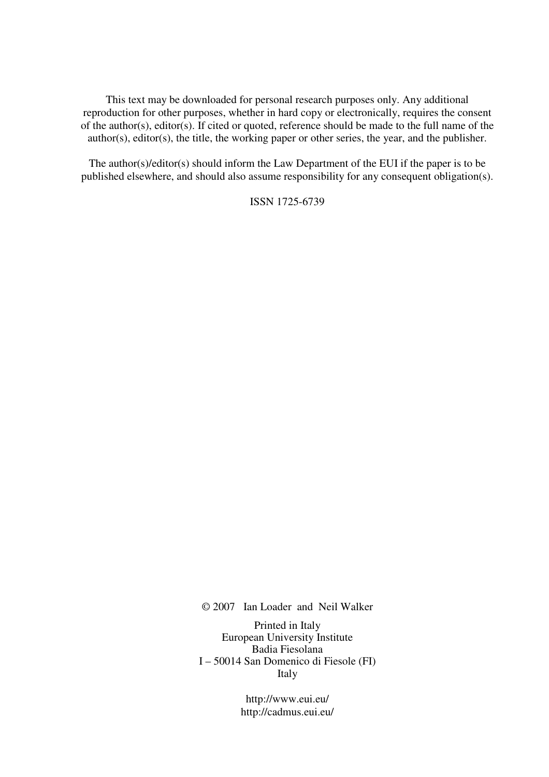This text may be downloaded for personal research purposes only. Any additional reproduction for other purposes, whether in hard copy or electronically, requires the consent of the author(s), editor(s). If cited or quoted, reference should be made to the full name of the author(s), editor(s), the title, the working paper or other series, the year, and the publisher.

The author(s)/editor(s) should inform the Law Department of the EUI if the paper is to be published elsewhere, and should also assume responsibility for any consequent obligation(s).

ISSN 1725-6739

© 2007 Ian Loader and Neil Walker

Printed in Italy European University Institute Badia Fiesolana I – 50014 San Domenico di Fiesole (FI) Italy

> http://www.eui.eu/ http://cadmus.eui.eu/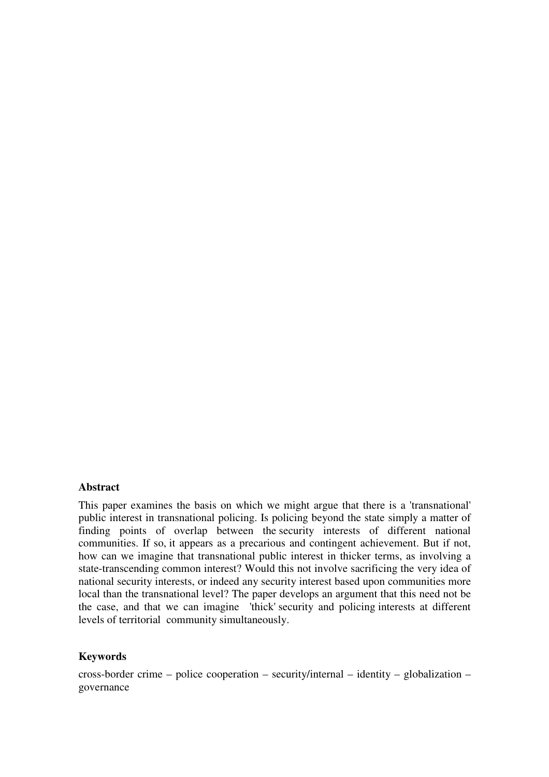# **Abstract**

This paper examines the basis on which we might argue that there is a 'transnational' public interest in transnational policing. Is policing beyond the state simply a matter of finding points of overlap between the security interests of different national communities. If so, it appears as a precarious and contingent achievement. But if not, how can we imagine that transnational public interest in thicker terms, as involving a state-transcending common interest? Would this not involve sacrificing the very idea of national security interests, or indeed any security interest based upon communities more local than the transnational level? The paper develops an argument that this need not be the case, and that we can imagine 'thick' security and policing interests at different levels of territorial community simultaneously.

# **Keywords**

cross-border crime – police cooperation – security/internal – identity – globalization – governance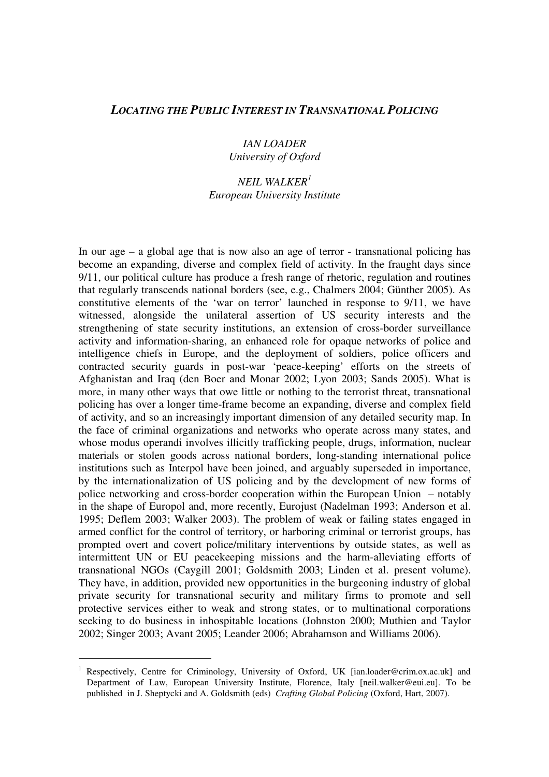# *LOCATING THE PUBLIC INTEREST IN TRANSNATIONAL POLICING*

*IAN LOADER University of Oxford* 

# *NEIL WALKER<sup>1</sup> European University Institute*

In our age – a global age that is now also an age of terror - transnational policing has become an expanding, diverse and complex field of activity. In the fraught days since 9/11, our political culture has produce a fresh range of rhetoric, regulation and routines that regularly transcends national borders (see, e.g., Chalmers 2004; Günther 2005). As constitutive elements of the 'war on terror' launched in response to 9/11, we have witnessed, alongside the unilateral assertion of US security interests and the strengthening of state security institutions, an extension of cross-border surveillance activity and information-sharing, an enhanced role for opaque networks of police and intelligence chiefs in Europe, and the deployment of soldiers, police officers and contracted security guards in post-war 'peace-keeping' efforts on the streets of Afghanistan and Iraq (den Boer and Monar 2002; Lyon 2003; Sands 2005). What is more, in many other ways that owe little or nothing to the terrorist threat, transnational policing has over a longer time-frame become an expanding, diverse and complex field of activity, and so an increasingly important dimension of any detailed security map. In the face of criminal organizations and networks who operate across many states, and whose modus operandi involves illicitly trafficking people, drugs, information, nuclear materials or stolen goods across national borders, long-standing international police institutions such as Interpol have been joined, and arguably superseded in importance, by the internationalization of US policing and by the development of new forms of police networking and cross-border cooperation within the European Union – notably in the shape of Europol and, more recently, Eurojust (Nadelman 1993; Anderson et al. 1995; Deflem 2003; Walker 2003). The problem of weak or failing states engaged in armed conflict for the control of territory, or harboring criminal or terrorist groups, has prompted overt and covert police/military interventions by outside states, as well as intermittent UN or EU peacekeeping missions and the harm-alleviating efforts of transnational NGOs (Caygill 2001; Goldsmith 2003; Linden et al. present volume). They have, in addition, provided new opportunities in the burgeoning industry of global private security for transnational security and military firms to promote and sell protective services either to weak and strong states, or to multinational corporations seeking to do business in inhospitable locations (Johnston 2000; Muthien and Taylor 2002; Singer 2003; Avant 2005; Leander 2006; Abrahamson and Williams 2006).

<sup>&</sup>lt;sup>1</sup> Respectively, Centre for Criminology, University of Oxford, UK [ian.loader@crim.ox.ac.uk] and Department of Law, European University Institute, Florence, Italy [neil.walker@eui.eu]. To be published in J. Sheptycki and A. Goldsmith (eds) *Crafting Global Policing* (Oxford, Hart, 2007).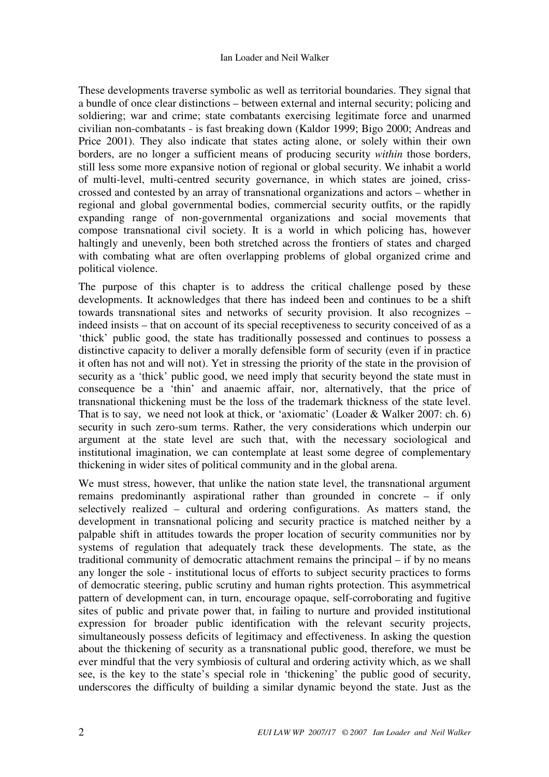These developments traverse symbolic as well as territorial boundaries. They signal that a bundle of once clear distinctions – between external and internal security; policing and soldiering; war and crime; state combatants exercising legitimate force and unarmed civilian non-combatants - is fast breaking down (Kaldor 1999; Bigo 2000; Andreas and Price 2001). They also indicate that states acting alone, or solely within their own borders, are no longer a sufficient means of producing security *within* those borders, still less some more expansive notion of regional or global security. We inhabit a world of multi-level, multi-centred security governance, in which states are joined, crisscrossed and contested by an array of transnational organizations and actors – whether in regional and global governmental bodies, commercial security outfits, or the rapidly expanding range of non-governmental organizations and social movements that compose transnational civil society. It is a world in which policing has, however haltingly and unevenly, been both stretched across the frontiers of states and charged with combating what are often overlapping problems of global organized crime and political violence.

The purpose of this chapter is to address the critical challenge posed by these developments. It acknowledges that there has indeed been and continues to be a shift towards transnational sites and networks of security provision. It also recognizes – indeed insists – that on account of its special receptiveness to security conceived of as a 'thick' public good, the state has traditionally possessed and continues to possess a distinctive capacity to deliver a morally defensible form of security (even if in practice it often has not and will not). Yet in stressing the priority of the state in the provision of security as a 'thick' public good, we need imply that security beyond the state must in consequence be a 'thin' and anaemic affair, nor, alternatively, that the price of transnational thickening must be the loss of the trademark thickness of the state level. That is to say, we need not look at thick, or 'axiomatic' (Loader & Walker 2007: ch. 6) security in such zero-sum terms. Rather, the very considerations which underpin our argument at the state level are such that, with the necessary sociological and institutional imagination, we can contemplate at least some degree of complementary thickening in wider sites of political community and in the global arena.

We must stress, however, that unlike the nation state level, the transnational argument remains predominantly aspirational rather than grounded in concrete – if only selectively realized – cultural and ordering configurations. As matters stand, the development in transnational policing and security practice is matched neither by a palpable shift in attitudes towards the proper location of security communities nor by systems of regulation that adequately track these developments. The state, as the traditional community of democratic attachment remains the principal – if by no means any longer the sole - institutional locus of efforts to subject security practices to forms of democratic steering, public scrutiny and human rights protection. This asymmetrical pattern of development can, in turn, encourage opaque, self-corroborating and fugitive sites of public and private power that, in failing to nurture and provided institutional expression for broader public identification with the relevant security projects, simultaneously possess deficits of legitimacy and effectiveness. In asking the question about the thickening of security as a transnational public good, therefore, we must be ever mindful that the very symbiosis of cultural and ordering activity which, as we shall see, is the key to the state's special role in 'thickening' the public good of security, underscores the difficulty of building a similar dynamic beyond the state. Just as the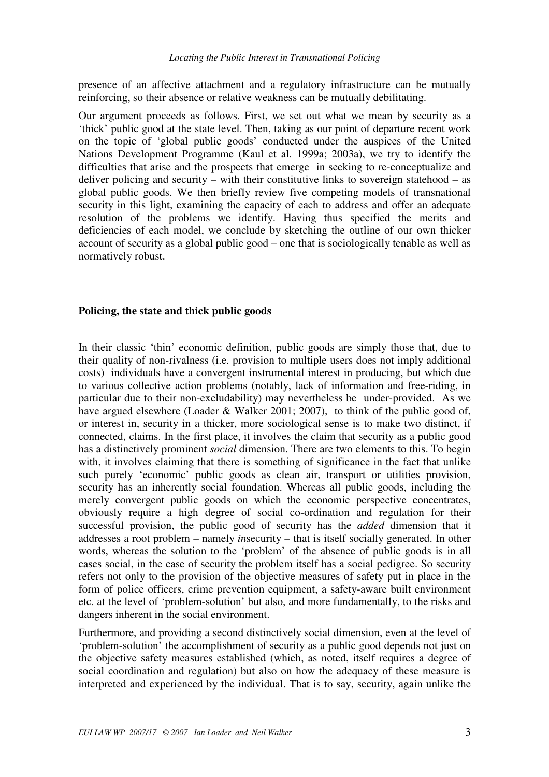presence of an affective attachment and a regulatory infrastructure can be mutually reinforcing, so their absence or relative weakness can be mutually debilitating.

Our argument proceeds as follows. First, we set out what we mean by security as a 'thick' public good at the state level. Then, taking as our point of departure recent work on the topic of 'global public goods' conducted under the auspices of the United Nations Development Programme (Kaul et al. 1999a; 2003a), we try to identify the difficulties that arise and the prospects that emerge in seeking to re-conceptualize and deliver policing and security – with their constitutive links to sovereign statehood – as global public goods. We then briefly review five competing models of transnational security in this light, examining the capacity of each to address and offer an adequate resolution of the problems we identify. Having thus specified the merits and deficiencies of each model, we conclude by sketching the outline of our own thicker account of security as a global public good – one that is sociologically tenable as well as normatively robust.

# **Policing, the state and thick public goods**

In their classic 'thin' economic definition, public goods are simply those that, due to their quality of non-rivalness (i.e. provision to multiple users does not imply additional costs) individuals have a convergent instrumental interest in producing, but which due to various collective action problems (notably, lack of information and free-riding, in particular due to their non-excludability) may nevertheless be under-provided. As we have argued elsewhere (Loader & Walker 2001; 2007), to think of the public good of, or interest in, security in a thicker, more sociological sense is to make two distinct, if connected, claims. In the first place, it involves the claim that security as a public good has a distinctively prominent *social* dimension. There are two elements to this. To begin with, it involves claiming that there is something of significance in the fact that unlike such purely 'economic' public goods as clean air, transport or utilities provision, security has an inherently social foundation. Whereas all public goods, including the merely convergent public goods on which the economic perspective concentrates, obviously require a high degree of social co-ordination and regulation for their successful provision, the public good of security has the *added* dimension that it addresses a root problem – namely *in*security – that is itself socially generated. In other words, whereas the solution to the 'problem' of the absence of public goods is in all cases social, in the case of security the problem itself has a social pedigree. So security refers not only to the provision of the objective measures of safety put in place in the form of police officers, crime prevention equipment, a safety-aware built environment etc. at the level of 'problem-solution' but also, and more fundamentally, to the risks and dangers inherent in the social environment.

Furthermore, and providing a second distinctively social dimension, even at the level of 'problem-solution' the accomplishment of security as a public good depends not just on the objective safety measures established (which, as noted, itself requires a degree of social coordination and regulation) but also on how the adequacy of these measure is interpreted and experienced by the individual. That is to say, security, again unlike the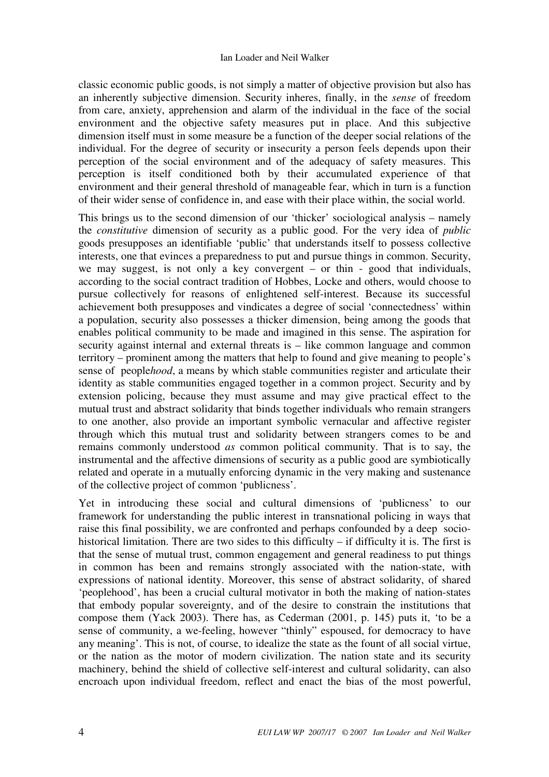classic economic public goods, is not simply a matter of objective provision but also has an inherently subjective dimension. Security inheres, finally, in the *sense* of freedom from care, anxiety, apprehension and alarm of the individual in the face of the social environment and the objective safety measures put in place. And this subjective dimension itself must in some measure be a function of the deeper social relations of the individual. For the degree of security or insecurity a person feels depends upon their perception of the social environment and of the adequacy of safety measures. This perception is itself conditioned both by their accumulated experience of that environment and their general threshold of manageable fear, which in turn is a function of their wider sense of confidence in, and ease with their place within, the social world.

This brings us to the second dimension of our 'thicker' sociological analysis – namely the *constitutive* dimension of security as a public good. For the very idea of *public*  goods presupposes an identifiable 'public' that understands itself to possess collective interests, one that evinces a preparedness to put and pursue things in common. Security, we may suggest, is not only a key convergent – or thin - good that individuals, according to the social contract tradition of Hobbes, Locke and others, would choose to pursue collectively for reasons of enlightened self-interest. Because its successful achievement both presupposes and vindicates a degree of social 'connectedness' within a population, security also possesses a thicker dimension, being among the goods that enables political community to be made and imagined in this sense. The aspiration for security against internal and external threats is – like common language and common territory – prominent among the matters that help to found and give meaning to people's sense of people*hood*, a means by which stable communities register and articulate their identity as stable communities engaged together in a common project. Security and by extension policing, because they must assume and may give practical effect to the mutual trust and abstract solidarity that binds together individuals who remain strangers to one another, also provide an important symbolic vernacular and affective register through which this mutual trust and solidarity between strangers comes to be and remains commonly understood *as* common political community. That is to say, the instrumental and the affective dimensions of security as a public good are symbiotically related and operate in a mutually enforcing dynamic in the very making and sustenance of the collective project of common 'publicness'.

Yet in introducing these social and cultural dimensions of 'publicness' to our framework for understanding the public interest in transnational policing in ways that raise this final possibility, we are confronted and perhaps confounded by a deep sociohistorical limitation. There are two sides to this difficulty – if difficulty it is. The first is that the sense of mutual trust, common engagement and general readiness to put things in common has been and remains strongly associated with the nation-state, with expressions of national identity. Moreover, this sense of abstract solidarity, of shared 'peoplehood', has been a crucial cultural motivator in both the making of nation-states that embody popular sovereignty, and of the desire to constrain the institutions that compose them (Yack 2003). There has, as Cederman (2001, p. 145) puts it, 'to be a sense of community, a we-feeling, however "thinly" espoused, for democracy to have any meaning'. This is not, of course, to idealize the state as the fount of all social virtue, or the nation as the motor of modern civilization. The nation state and its security machinery, behind the shield of collective self-interest and cultural solidarity, can also encroach upon individual freedom, reflect and enact the bias of the most powerful,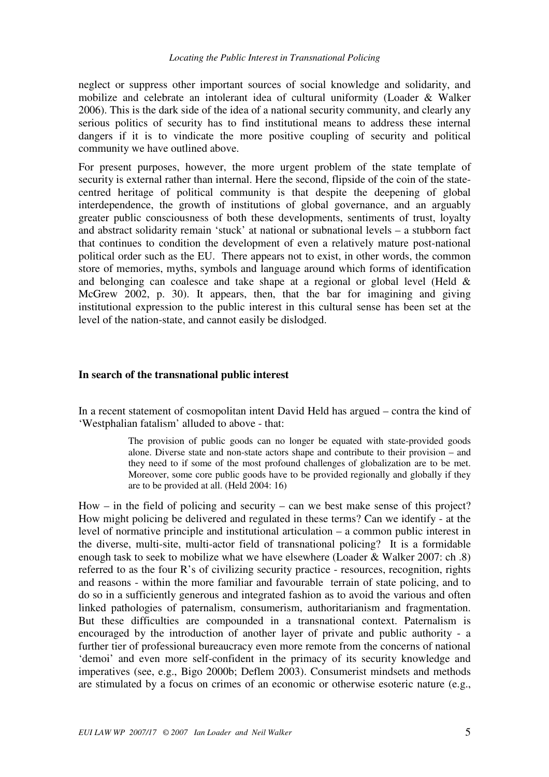neglect or suppress other important sources of social knowledge and solidarity, and mobilize and celebrate an intolerant idea of cultural uniformity (Loader & Walker 2006). This is the dark side of the idea of a national security community, and clearly any serious politics of security has to find institutional means to address these internal dangers if it is to vindicate the more positive coupling of security and political community we have outlined above.

For present purposes, however, the more urgent problem of the state template of security is external rather than internal. Here the second, flipside of the coin of the statecentred heritage of political community is that despite the deepening of global interdependence, the growth of institutions of global governance, and an arguably greater public consciousness of both these developments, sentiments of trust, loyalty and abstract solidarity remain 'stuck' at national or subnational levels – a stubborn fact that continues to condition the development of even a relatively mature post-national political order such as the EU. There appears not to exist, in other words, the common store of memories, myths, symbols and language around which forms of identification and belonging can coalesce and take shape at a regional or global level (Held & McGrew 2002, p. 30). It appears, then, that the bar for imagining and giving institutional expression to the public interest in this cultural sense has been set at the level of the nation-state, and cannot easily be dislodged.

#### **In search of the transnational public interest**

In a recent statement of cosmopolitan intent David Held has argued – contra the kind of 'Westphalian fatalism' alluded to above - that:

> The provision of public goods can no longer be equated with state-provided goods alone. Diverse state and non-state actors shape and contribute to their provision – and they need to if some of the most profound challenges of globalization are to be met. Moreover, some core public goods have to be provided regionally and globally if they are to be provided at all. (Held 2004: 16)

How – in the field of policing and security – can we best make sense of this project? How might policing be delivered and regulated in these terms? Can we identify - at the level of normative principle and institutional articulation – a common public interest in the diverse, multi-site, multi-actor field of transnational policing? It is a formidable enough task to seek to mobilize what we have elsewhere (Loader & Walker 2007: ch .8) referred to as the four R's of civilizing security practice - resources, recognition, rights and reasons - within the more familiar and favourable terrain of state policing, and to do so in a sufficiently generous and integrated fashion as to avoid the various and often linked pathologies of paternalism, consumerism, authoritarianism and fragmentation. But these difficulties are compounded in a transnational context. Paternalism is encouraged by the introduction of another layer of private and public authority - a further tier of professional bureaucracy even more remote from the concerns of national 'demoi' and even more self-confident in the primacy of its security knowledge and imperatives (see, e.g., Bigo 2000b; Deflem 2003). Consumerist mindsets and methods are stimulated by a focus on crimes of an economic or otherwise esoteric nature (e.g.,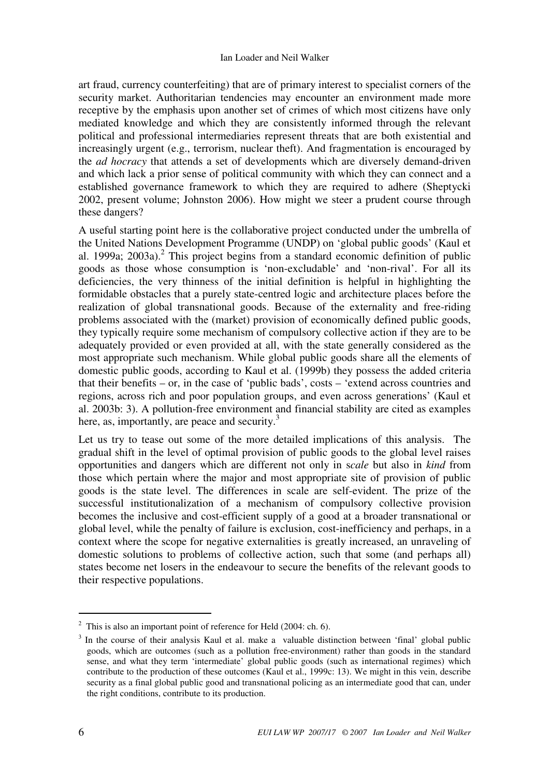art fraud, currency counterfeiting) that are of primary interest to specialist corners of the security market. Authoritarian tendencies may encounter an environment made more receptive by the emphasis upon another set of crimes of which most citizens have only mediated knowledge and which they are consistently informed through the relevant political and professional intermediaries represent threats that are both existential and increasingly urgent (e.g., terrorism, nuclear theft). And fragmentation is encouraged by the *ad hocracy* that attends a set of developments which are diversely demand-driven and which lack a prior sense of political community with which they can connect and a established governance framework to which they are required to adhere (Sheptycki 2002, present volume; Johnston 2006). How might we steer a prudent course through these dangers?

A useful starting point here is the collaborative project conducted under the umbrella of the United Nations Development Programme (UNDP) on 'global public goods' (Kaul et al. 1999a; 2003a).<sup>2</sup> This project begins from a standard economic definition of public goods as those whose consumption is 'non-excludable' and 'non-rival'. For all its deficiencies, the very thinness of the initial definition is helpful in highlighting the formidable obstacles that a purely state-centred logic and architecture places before the realization of global transnational goods. Because of the externality and free-riding problems associated with the (market) provision of economically defined public goods, they typically require some mechanism of compulsory collective action if they are to be adequately provided or even provided at all, with the state generally considered as the most appropriate such mechanism. While global public goods share all the elements of domestic public goods, according to Kaul et al. (1999b) they possess the added criteria that their benefits – or, in the case of 'public bads', costs – 'extend across countries and regions, across rich and poor population groups, and even across generations' (Kaul et al. 2003b: 3). A pollution-free environment and financial stability are cited as examples here, as, importantly, are peace and security. $3$ 

Let us try to tease out some of the more detailed implications of this analysis. The gradual shift in the level of optimal provision of public goods to the global level raises opportunities and dangers which are different not only in s*cale* but also in *kind* from those which pertain where the major and most appropriate site of provision of public goods is the state level. The differences in scale are self-evident. The prize of the successful institutionalization of a mechanism of compulsory collective provision becomes the inclusive and cost-efficient supply of a good at a broader transnational or global level, while the penalty of failure is exclusion, cost-inefficiency and perhaps, in a context where the scope for negative externalities is greatly increased, an unraveling of domestic solutions to problems of collective action, such that some (and perhaps all) states become net losers in the endeavour to secure the benefits of the relevant goods to their respective populations.

 $2$  This is also an important point of reference for Held (2004: ch. 6).

<sup>&</sup>lt;sup>3</sup> In the course of their analysis Kaul et al. make a valuable distinction between 'final' global public goods, which are outcomes (such as a pollution free-environment) rather than goods in the standard sense, and what they term 'intermediate' global public goods (such as international regimes) which contribute to the production of these outcomes (Kaul et al., 1999c: 13). We might in this vein, describe security as a final global public good and transnational policing as an intermediate good that can, under the right conditions, contribute to its production.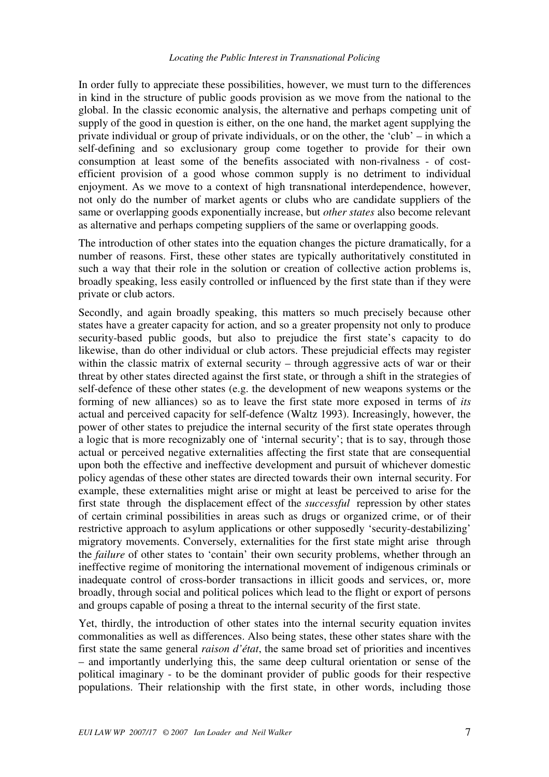In order fully to appreciate these possibilities, however, we must turn to the differences in kind in the structure of public goods provision as we move from the national to the global. In the classic economic analysis, the alternative and perhaps competing unit of supply of the good in question is either, on the one hand, the market agent supplying the private individual or group of private individuals, or on the other, the 'club' – in which a self-defining and so exclusionary group come together to provide for their own consumption at least some of the benefits associated with non-rivalness - of costefficient provision of a good whose common supply is no detriment to individual enjoyment. As we move to a context of high transnational interdependence, however, not only do the number of market agents or clubs who are candidate suppliers of the same or overlapping goods exponentially increase, but *other states* also become relevant as alternative and perhaps competing suppliers of the same or overlapping goods.

The introduction of other states into the equation changes the picture dramatically, for a number of reasons. First, these other states are typically authoritatively constituted in such a way that their role in the solution or creation of collective action problems is, broadly speaking, less easily controlled or influenced by the first state than if they were private or club actors.

Secondly, and again broadly speaking, this matters so much precisely because other states have a greater capacity for action, and so a greater propensity not only to produce security-based public goods, but also to prejudice the first state's capacity to do likewise, than do other individual or club actors. These prejudicial effects may register within the classic matrix of external security – through aggressive acts of war or their threat by other states directed against the first state, or through a shift in the strategies of self-defence of these other states (e.g. the development of new weapons systems or the forming of new alliances) so as to leave the first state more exposed in terms of *its* actual and perceived capacity for self-defence (Waltz 1993). Increasingly, however, the power of other states to prejudice the internal security of the first state operates through a logic that is more recognizably one of 'internal security'; that is to say, through those actual or perceived negative externalities affecting the first state that are consequential upon both the effective and ineffective development and pursuit of whichever domestic policy agendas of these other states are directed towards their own internal security. For example, these externalities might arise or might at least be perceived to arise for the first state through the displacement effect of the *successful* repression by other states of certain criminal possibilities in areas such as drugs or organized crime, or of their restrictive approach to asylum applications or other supposedly 'security-destabilizing' migratory movements. Conversely, externalities for the first state might arise through the *failure* of other states to 'contain' their own security problems, whether through an ineffective regime of monitoring the international movement of indigenous criminals or inadequate control of cross-border transactions in illicit goods and services, or, more broadly, through social and political polices which lead to the flight or export of persons and groups capable of posing a threat to the internal security of the first state.

Yet, thirdly, the introduction of other states into the internal security equation invites commonalities as well as differences. Also being states, these other states share with the first state the same general *raison d'état*, the same broad set of priorities and incentives – and importantly underlying this, the same deep cultural orientation or sense of the political imaginary - to be the dominant provider of public goods for their respective populations. Their relationship with the first state, in other words, including those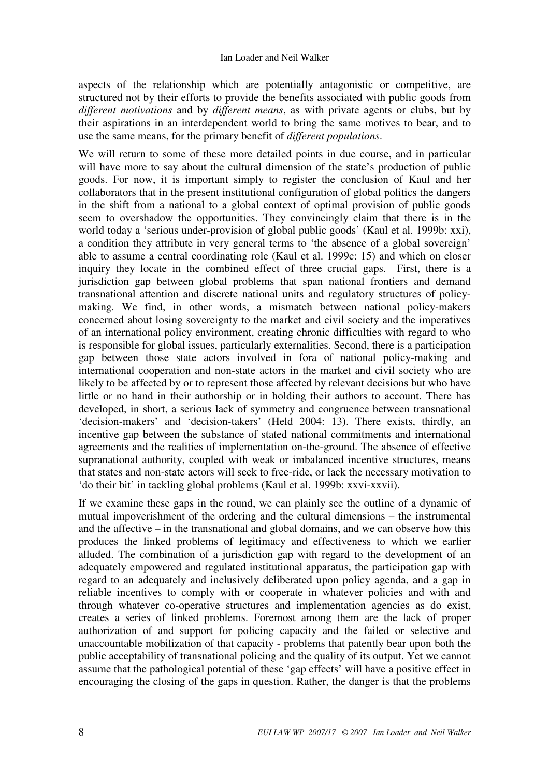aspects of the relationship which are potentially antagonistic or competitive, are structured not by their efforts to provide the benefits associated with public goods from *different motivations* and by *different means*, as with private agents or clubs, but by their aspirations in an interdependent world to bring the same motives to bear, and to use the same means, for the primary benefit of *different populations*.

We will return to some of these more detailed points in due course, and in particular will have more to say about the cultural dimension of the state's production of public goods. For now, it is important simply to register the conclusion of Kaul and her collaborators that in the present institutional configuration of global politics the dangers in the shift from a national to a global context of optimal provision of public goods seem to overshadow the opportunities. They convincingly claim that there is in the world today a 'serious under-provision of global public goods' (Kaul et al. 1999b: xxi), a condition they attribute in very general terms to 'the absence of a global sovereign' able to assume a central coordinating role (Kaul et al. 1999c: 15) and which on closer inquiry they locate in the combined effect of three crucial gaps. First, there is a jurisdiction gap between global problems that span national frontiers and demand transnational attention and discrete national units and regulatory structures of policymaking. We find, in other words, a mismatch between national policy-makers concerned about losing sovereignty to the market and civil society and the imperatives of an international policy environment, creating chronic difficulties with regard to who is responsible for global issues, particularly externalities. Second, there is a participation gap between those state actors involved in fora of national policy-making and international cooperation and non-state actors in the market and civil society who are likely to be affected by or to represent those affected by relevant decisions but who have little or no hand in their authorship or in holding their authors to account. There has developed, in short, a serious lack of symmetry and congruence between transnational 'decision-makers' and 'decision-takers' (Held 2004: 13). There exists, thirdly, an incentive gap between the substance of stated national commitments and international agreements and the realities of implementation on-the-ground. The absence of effective supranational authority, coupled with weak or imbalanced incentive structures, means that states and non-state actors will seek to free-ride, or lack the necessary motivation to 'do their bit' in tackling global problems (Kaul et al. 1999b: xxvi-xxvii).

If we examine these gaps in the round, we can plainly see the outline of a dynamic of mutual impoverishment of the ordering and the cultural dimensions – the instrumental and the affective – in the transnational and global domains, and we can observe how this produces the linked problems of legitimacy and effectiveness to which we earlier alluded. The combination of a jurisdiction gap with regard to the development of an adequately empowered and regulated institutional apparatus, the participation gap with regard to an adequately and inclusively deliberated upon policy agenda, and a gap in reliable incentives to comply with or cooperate in whatever policies and with and through whatever co-operative structures and implementation agencies as do exist, creates a series of linked problems. Foremost among them are the lack of proper authorization of and support for policing capacity and the failed or selective and unaccountable mobilization of that capacity - problems that patently bear upon both the public acceptability of transnational policing and the quality of its output. Yet we cannot assume that the pathological potential of these 'gap effects' will have a positive effect in encouraging the closing of the gaps in question. Rather, the danger is that the problems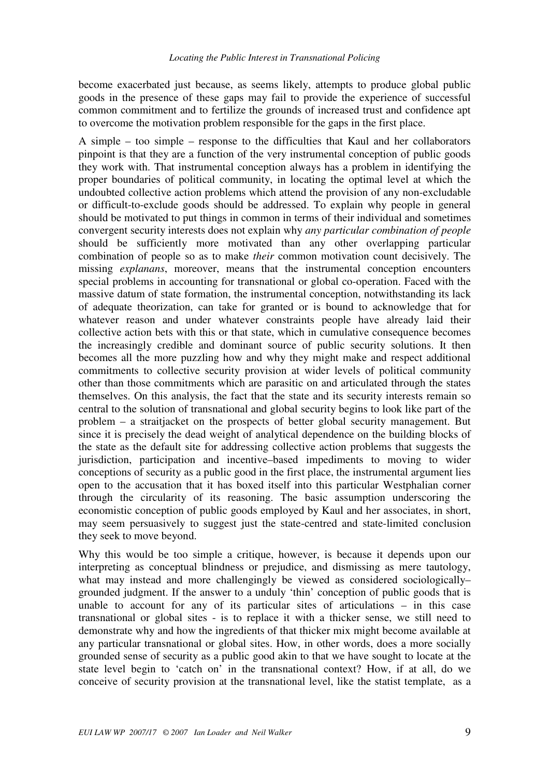become exacerbated just because, as seems likely, attempts to produce global public goods in the presence of these gaps may fail to provide the experience of successful common commitment and to fertilize the grounds of increased trust and confidence apt to overcome the motivation problem responsible for the gaps in the first place.

A simple – too simple – response to the difficulties that Kaul and her collaborators pinpoint is that they are a function of the very instrumental conception of public goods they work with. That instrumental conception always has a problem in identifying the proper boundaries of political community, in locating the optimal level at which the undoubted collective action problems which attend the provision of any non-excludable or difficult-to-exclude goods should be addressed. To explain why people in general should be motivated to put things in common in terms of their individual and sometimes convergent security interests does not explain why *any particular combination of people* should be sufficiently more motivated than any other overlapping particular combination of people so as to make *their* common motivation count decisively. The missing *explanans*, moreover, means that the instrumental conception encounters special problems in accounting for transnational or global co-operation. Faced with the massive datum of state formation, the instrumental conception, notwithstanding its lack of adequate theorization, can take for granted or is bound to acknowledge that for whatever reason and under whatever constraints people have already laid their collective action bets with this or that state, which in cumulative consequence becomes the increasingly credible and dominant source of public security solutions. It then becomes all the more puzzling how and why they might make and respect additional commitments to collective security provision at wider levels of political community other than those commitments which are parasitic on and articulated through the states themselves. On this analysis, the fact that the state and its security interests remain so central to the solution of transnational and global security begins to look like part of the problem – a straitjacket on the prospects of better global security management. But since it is precisely the dead weight of analytical dependence on the building blocks of the state as the default site for addressing collective action problems that suggests the jurisdiction, participation and incentive–based impediments to moving to wider conceptions of security as a public good in the first place, the instrumental argument lies open to the accusation that it has boxed itself into this particular Westphalian corner through the circularity of its reasoning. The basic assumption underscoring the economistic conception of public goods employed by Kaul and her associates, in short, may seem persuasively to suggest just the state-centred and state-limited conclusion they seek to move beyond.

Why this would be too simple a critique, however, is because it depends upon our interpreting as conceptual blindness or prejudice, and dismissing as mere tautology, what may instead and more challengingly be viewed as considered sociologically– grounded judgment. If the answer to a unduly 'thin' conception of public goods that is unable to account for any of its particular sites of articulations – in this case transnational or global sites - is to replace it with a thicker sense, we still need to demonstrate why and how the ingredients of that thicker mix might become available at any particular transnational or global sites. How, in other words, does a more socially grounded sense of security as a public good akin to that we have sought to locate at the state level begin to 'catch on' in the transnational context? How, if at all, do we conceive of security provision at the transnational level, like the statist template, as a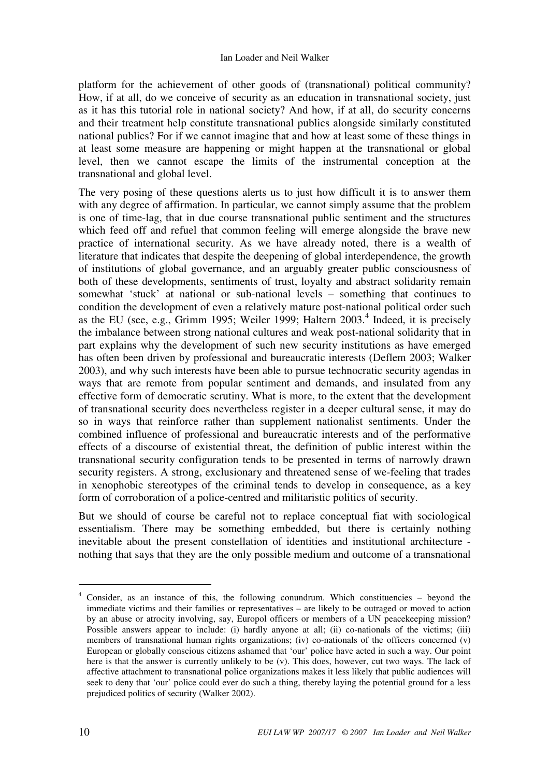platform for the achievement of other goods of (transnational) political community? How, if at all, do we conceive of security as an education in transnational society, just as it has this tutorial role in national society? And how, if at all, do security concerns and their treatment help constitute transnational publics alongside similarly constituted national publics? For if we cannot imagine that and how at least some of these things in at least some measure are happening or might happen at the transnational or global level, then we cannot escape the limits of the instrumental conception at the transnational and global level.

The very posing of these questions alerts us to just how difficult it is to answer them with any degree of affirmation. In particular, we cannot simply assume that the problem is one of time-lag, that in due course transnational public sentiment and the structures which feed off and refuel that common feeling will emerge alongside the brave new practice of international security. As we have already noted, there is a wealth of literature that indicates that despite the deepening of global interdependence, the growth of institutions of global governance, and an arguably greater public consciousness of both of these developments, sentiments of trust, loyalty and abstract solidarity remain somewhat 'stuck' at national or sub-national levels – something that continues to condition the development of even a relatively mature post-national political order such as the EU (see, e.g., Grimm 1995; Weiler 1999; Haltern 2003.<sup>4</sup> Indeed, it is precisely the imbalance between strong national cultures and weak post-national solidarity that in part explains why the development of such new security institutions as have emerged has often been driven by professional and bureaucratic interests (Deflem 2003; Walker 2003), and why such interests have been able to pursue technocratic security agendas in ways that are remote from popular sentiment and demands, and insulated from any effective form of democratic scrutiny. What is more, to the extent that the development of transnational security does nevertheless register in a deeper cultural sense, it may do so in ways that reinforce rather than supplement nationalist sentiments. Under the combined influence of professional and bureaucratic interests and of the performative effects of a discourse of existential threat, the definition of public interest within the transnational security configuration tends to be presented in terms of narrowly drawn security registers. A strong, exclusionary and threatened sense of we-feeling that trades in xenophobic stereotypes of the criminal tends to develop in consequence, as a key form of corroboration of a police-centred and militaristic politics of security.

But we should of course be careful not to replace conceptual fiat with sociological essentialism. There may be something embedded, but there is certainly nothing inevitable about the present constellation of identities and institutional architecture nothing that says that they are the only possible medium and outcome of a transnational

<sup>&</sup>lt;sup>4</sup> Consider, as an instance of this, the following conundrum. Which constituencies – beyond the immediate victims and their families or representatives – are likely to be outraged or moved to action by an abuse or atrocity involving, say, Europol officers or members of a UN peacekeeping mission? Possible answers appear to include: (i) hardly anyone at all; (ii) co-nationals of the victims; (iii) members of transnational human rights organizations; (iv) co-nationals of the officers concerned (v) European or globally conscious citizens ashamed that 'our' police have acted in such a way. Our point here is that the answer is currently unlikely to be (v). This does, however, cut two ways. The lack of affective attachment to transnational police organizations makes it less likely that public audiences will seek to deny that 'our' police could ever do such a thing, thereby laying the potential ground for a less prejudiced politics of security (Walker 2002).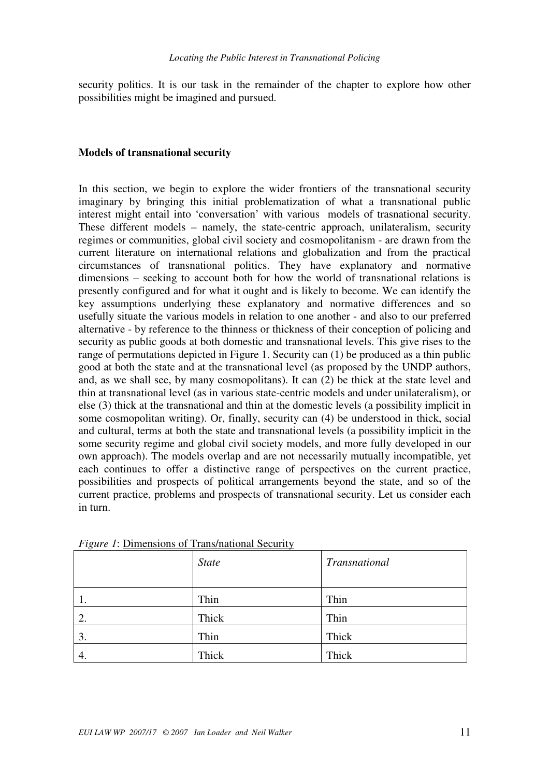security politics. It is our task in the remainder of the chapter to explore how other possibilities might be imagined and pursued.

# **Models of transnational security**

In this section, we begin to explore the wider frontiers of the transnational security imaginary by bringing this initial problematization of what a transnational public interest might entail into 'conversation' with various models of trasnational security. These different models – namely, the state-centric approach, unilateralism, security regimes or communities, global civil society and cosmopolitanism - are drawn from the current literature on international relations and globalization and from the practical circumstances of transnational politics. They have explanatory and normative dimensions – seeking to account both for how the world of transnational relations is presently configured and for what it ought and is likely to become. We can identify the key assumptions underlying these explanatory and normative differences and so usefully situate the various models in relation to one another - and also to our preferred alternative - by reference to the thinness or thickness of their conception of policing and security as public goods at both domestic and transnational levels. This give rises to the range of permutations depicted in Figure 1. Security can (1) be produced as a thin public good at both the state and at the transnational level (as proposed by the UNDP authors, and, as we shall see, by many cosmopolitans). It can (2) be thick at the state level and thin at transnational level (as in various state-centric models and under unilateralism), or else (3) thick at the transnational and thin at the domestic levels (a possibility implicit in some cosmopolitan writing). Or, finally, security can (4) be understood in thick, social and cultural, terms at both the state and transnational levels (a possibility implicit in the some security regime and global civil society models, and more fully developed in our own approach). The models overlap and are not necessarily mutually incompatible, yet each continues to offer a distinctive range of perspectives on the current practice, possibilities and prospects of political arrangements beyond the state, and so of the current practice, problems and prospects of transnational security. Let us consider each in turn.

| $1.6$ $\mu$ $\sigma$ $1.2$ mixelesters of Trums matterial security |              |               |
|--------------------------------------------------------------------|--------------|---------------|
|                                                                    | <b>State</b> | Transnational |
| .,                                                                 | Thin         | Thin          |
| ۷.                                                                 | Thick        | Thin          |
| 3.                                                                 | Thin         | Thick         |
| 4.                                                                 | Thick        | Thick         |

*Figure 1*: Dimensions of Trans/national Security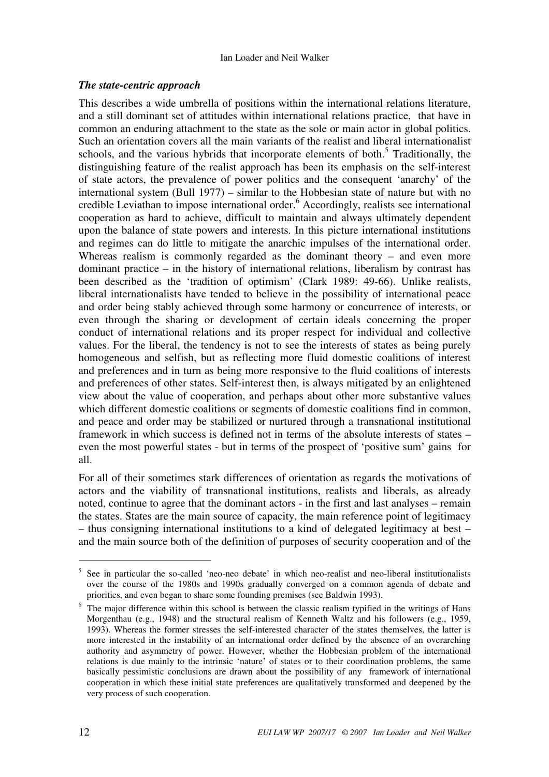# *The state-centric approach*

This describes a wide umbrella of positions within the international relations literature, and a still dominant set of attitudes within international relations practice, that have in common an enduring attachment to the state as the sole or main actor in global politics. Such an orientation covers all the main variants of the realist and liberal internationalist schools, and the various hybrids that incorporate elements of both.<sup>5</sup> Traditionally, the distinguishing feature of the realist approach has been its emphasis on the self-interest of state actors, the prevalence of power politics and the consequent 'anarchy' of the international system (Bull 1977) – similar to the Hobbesian state of nature but with no credible Leviathan to impose international order.<sup>6</sup> Accordingly, realists see international cooperation as hard to achieve, difficult to maintain and always ultimately dependent upon the balance of state powers and interests. In this picture international institutions and regimes can do little to mitigate the anarchic impulses of the international order. Whereas realism is commonly regarded as the dominant theory – and even more dominant practice – in the history of international relations, liberalism by contrast has been described as the 'tradition of optimism' (Clark 1989: 49-66). Unlike realists, liberal internationalists have tended to believe in the possibility of international peace and order being stably achieved through some harmony or concurrence of interests, or even through the sharing or development of certain ideals concerning the proper conduct of international relations and its proper respect for individual and collective values. For the liberal, the tendency is not to see the interests of states as being purely homogeneous and selfish, but as reflecting more fluid domestic coalitions of interest and preferences and in turn as being more responsive to the fluid coalitions of interests and preferences of other states. Self-interest then, is always mitigated by an enlightened view about the value of cooperation, and perhaps about other more substantive values which different domestic coalitions or segments of domestic coalitions find in common, and peace and order may be stabilized or nurtured through a transnational institutional framework in which success is defined not in terms of the absolute interests of states – even the most powerful states - but in terms of the prospect of 'positive sum' gains for all.

For all of their sometimes stark differences of orientation as regards the motivations of actors and the viability of transnational institutions, realists and liberals, as already noted, continue to agree that the dominant actors - in the first and last analyses – remain the states. States are the main source of capacity, the main reference point of legitimacy – thus consigning international institutions to a kind of delegated legitimacy at best – and the main source both of the definition of purposes of security cooperation and of the

<sup>&</sup>lt;sup>5</sup> See in particular the so-called 'neo-neo debate' in which neo-realist and neo-liberal institutionalists over the course of the 1980s and 1990s gradually converged on a common agenda of debate and priorities, and even began to share some founding premises (see Baldwin 1993).

<sup>&</sup>lt;sup>6</sup> The major difference within this school is between the classic realism typified in the writings of Hans Morgenthau (e.g., 1948) and the structural realism of Kenneth Waltz and his followers (e.g., 1959, 1993). Whereas the former stresses the self-interested character of the states themselves, the latter is more interested in the instability of an international order defined by the absence of an overarching authority and asymmetry of power. However, whether the Hobbesian problem of the international relations is due mainly to the intrinsic 'nature' of states or to their coordination problems, the same basically pessimistic conclusions are drawn about the possibility of any framework of international cooperation in which these initial state preferences are qualitatively transformed and deepened by the very process of such cooperation.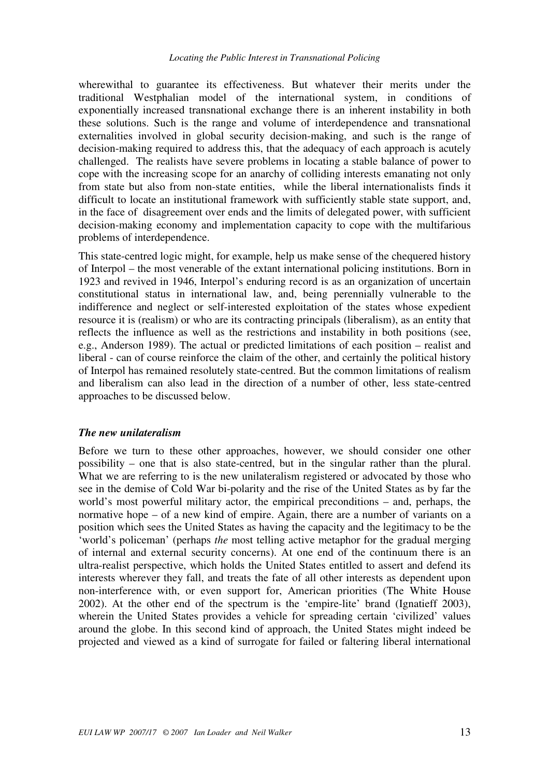wherewithal to guarantee its effectiveness. But whatever their merits under the traditional Westphalian model of the international system, in conditions of exponentially increased transnational exchange there is an inherent instability in both these solutions. Such is the range and volume of interdependence and transnational externalities involved in global security decision-making, and such is the range of decision-making required to address this, that the adequacy of each approach is acutely challenged. The realists have severe problems in locating a stable balance of power to cope with the increasing scope for an anarchy of colliding interests emanating not only from state but also from non-state entities, while the liberal internationalists finds it difficult to locate an institutional framework with sufficiently stable state support, and, in the face of disagreement over ends and the limits of delegated power, with sufficient decision-making economy and implementation capacity to cope with the multifarious problems of interdependence.

This state-centred logic might, for example, help us make sense of the chequered history of Interpol – the most venerable of the extant international policing institutions. Born in 1923 and revived in 1946, Interpol's enduring record is as an organization of uncertain constitutional status in international law, and, being perennially vulnerable to the indifference and neglect or self-interested exploitation of the states whose expedient resource it is (realism) or who are its contracting principals (liberalism), as an entity that reflects the influence as well as the restrictions and instability in both positions (see, e.g., Anderson 1989). The actual or predicted limitations of each position – realist and liberal - can of course reinforce the claim of the other, and certainly the political history of Interpol has remained resolutely state-centred. But the common limitations of realism and liberalism can also lead in the direction of a number of other, less state-centred approaches to be discussed below.

#### *The new unilateralism*

Before we turn to these other approaches, however, we should consider one other possibility – one that is also state-centred, but in the singular rather than the plural. What we are referring to is the new unilateralism registered or advocated by those who see in the demise of Cold War bi-polarity and the rise of the United States as by far the world's most powerful military actor, the empirical preconditions – and, perhaps, the normative hope – of a new kind of empire. Again, there are a number of variants on a position which sees the United States as having the capacity and the legitimacy to be the 'world's policeman' (perhaps *the* most telling active metaphor for the gradual merging of internal and external security concerns). At one end of the continuum there is an ultra-realist perspective, which holds the United States entitled to assert and defend its interests wherever they fall, and treats the fate of all other interests as dependent upon non-interference with, or even support for, American priorities (The White House 2002). At the other end of the spectrum is the 'empire-lite' brand (Ignatieff 2003), wherein the United States provides a vehicle for spreading certain 'civilized' values around the globe. In this second kind of approach, the United States might indeed be projected and viewed as a kind of surrogate for failed or faltering liberal international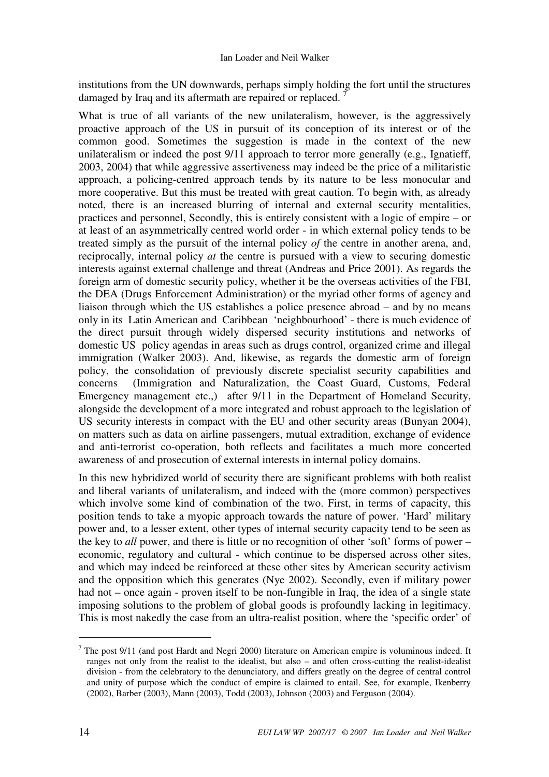institutions from the UN downwards, perhaps simply holding the fort until the structures damaged by Iraq and its aftermath are repaired or replaced.

What is true of all variants of the new unilateralism, however, is the aggressively proactive approach of the US in pursuit of its conception of its interest or of the common good. Sometimes the suggestion is made in the context of the new unilateralism or indeed the post 9/11 approach to terror more generally (e.g., Ignatieff, 2003, 2004) that while aggressive assertiveness may indeed be the price of a militaristic approach, a policing-centred approach tends by its nature to be less monocular and more cooperative. But this must be treated with great caution. To begin with, as already noted, there is an increased blurring of internal and external security mentalities, practices and personnel, Secondly, this is entirely consistent with a logic of empire – or at least of an asymmetrically centred world order - in which external policy tends to be treated simply as the pursuit of the internal policy *of* the centre in another arena, and, reciprocally, internal policy *at* the centre is pursued with a view to securing domestic interests against external challenge and threat (Andreas and Price 2001). As regards the foreign arm of domestic security policy, whether it be the overseas activities of the FBI, the DEA (Drugs Enforcement Administration) or the myriad other forms of agency and liaison through which the US establishes a police presence abroad – and by no means only in its Latin American and Caribbean 'neighbourhood' - there is much evidence of the direct pursuit through widely dispersed security institutions and networks of domestic US policy agendas in areas such as drugs control, organized crime and illegal immigration (Walker 2003). And, likewise, as regards the domestic arm of foreign policy, the consolidation of previously discrete specialist security capabilities and concerns (Immigration and Naturalization, the Coast Guard, Customs, Federal Emergency management etc.,) after 9/11 in the Department of Homeland Security, alongside the development of a more integrated and robust approach to the legislation of US security interests in compact with the EU and other security areas (Bunyan 2004), on matters such as data on airline passengers, mutual extradition, exchange of evidence and anti-terrorist co-operation, both reflects and facilitates a much more concerted awareness of and prosecution of external interests in internal policy domains.

In this new hybridized world of security there are significant problems with both realist and liberal variants of unilateralism, and indeed with the (more common) perspectives which involve some kind of combination of the two. First, in terms of capacity, this position tends to take a myopic approach towards the nature of power. 'Hard' military power and, to a lesser extent, other types of internal security capacity tend to be seen as the key to *all* power, and there is little or no recognition of other 'soft' forms of power – economic, regulatory and cultural - which continue to be dispersed across other sites, and which may indeed be reinforced at these other sites by American security activism and the opposition which this generates (Nye 2002). Secondly, even if military power had not – once again - proven itself to be non-fungible in Iraq, the idea of a single state imposing solutions to the problem of global goods is profoundly lacking in legitimacy. This is most nakedly the case from an ultra-realist position, where the 'specific order' of

 $<sup>7</sup>$  The post 9/11 (and post Hardt and Negri 2000) literature on American empire is voluminous indeed. It</sup> ranges not only from the realist to the idealist, but also – and often cross-cutting the realist-idealist division - from the celebratory to the denunciatory, and differs greatly on the degree of central control and unity of purpose which the conduct of empire is claimed to entail. See, for example, Ikenberry (2002), Barber (2003), Mann (2003), Todd (2003), Johnson (2003) and Ferguson (2004).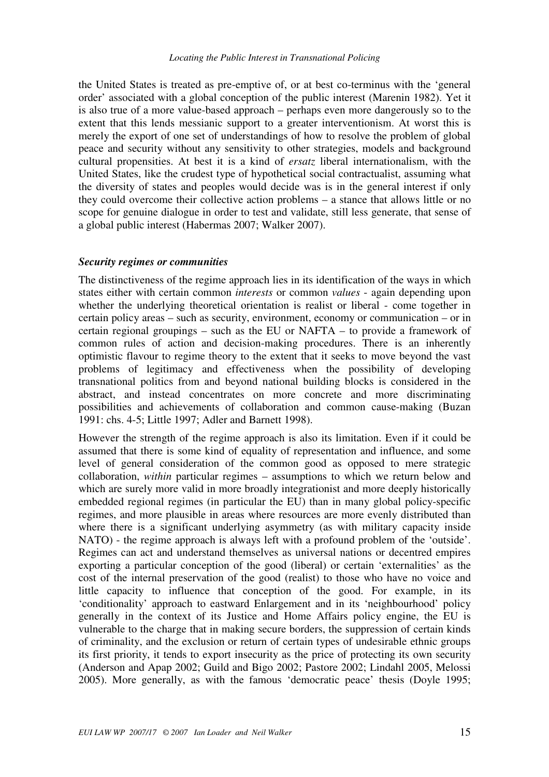# *Locating the Public Interest in Transnational Policing*

the United States is treated as pre-emptive of, or at best co-terminus with the 'general order' associated with a global conception of the public interest (Marenin 1982). Yet it is also true of a more value-based approach – perhaps even more dangerously so to the extent that this lends messianic support to a greater interventionism. At worst this is merely the export of one set of understandings of how to resolve the problem of global peace and security without any sensitivity to other strategies, models and background cultural propensities. At best it is a kind of *ersatz* liberal internationalism, with the United States, like the crudest type of hypothetical social contractualist, assuming what the diversity of states and peoples would decide was is in the general interest if only they could overcome their collective action problems – a stance that allows little or no scope for genuine dialogue in order to test and validate, still less generate, that sense of a global public interest (Habermas 2007; Walker 2007).

# *Security regimes or communities*

The distinctiveness of the regime approach lies in its identification of the ways in which states either with certain common *interests* or common *values* - again depending upon whether the underlying theoretical orientation is realist or liberal - come together in certain policy areas – such as security, environment, economy or communication – or in certain regional groupings – such as the EU or NAFTA – to provide a framework of common rules of action and decision-making procedures. There is an inherently optimistic flavour to regime theory to the extent that it seeks to move beyond the vast problems of legitimacy and effectiveness when the possibility of developing transnational politics from and beyond national building blocks is considered in the abstract, and instead concentrates on more concrete and more discriminating possibilities and achievements of collaboration and common cause-making (Buzan 1991: chs. 4-5; Little 1997; Adler and Barnett 1998).

However the strength of the regime approach is also its limitation. Even if it could be assumed that there is some kind of equality of representation and influence, and some level of general consideration of the common good as opposed to mere strategic collaboration, *within* particular regimes – assumptions to which we return below and which are surely more valid in more broadly integrationist and more deeply historically embedded regional regimes (in particular the EU) than in many global policy-specific regimes, and more plausible in areas where resources are more evenly distributed than where there is a significant underlying asymmetry (as with military capacity inside NATO) - the regime approach is always left with a profound problem of the 'outside'. Regimes can act and understand themselves as universal nations or decentred empires exporting a particular conception of the good (liberal) or certain 'externalities' as the cost of the internal preservation of the good (realist) to those who have no voice and little capacity to influence that conception of the good. For example, in its 'conditionality' approach to eastward Enlargement and in its 'neighbourhood' policy generally in the context of its Justice and Home Affairs policy engine, the EU is vulnerable to the charge that in making secure borders, the suppression of certain kinds of criminality, and the exclusion or return of certain types of undesirable ethnic groups its first priority, it tends to export insecurity as the price of protecting its own security (Anderson and Apap 2002; Guild and Bigo 2002; Pastore 2002; Lindahl 2005, Melossi 2005). More generally, as with the famous 'democratic peace' thesis (Doyle 1995;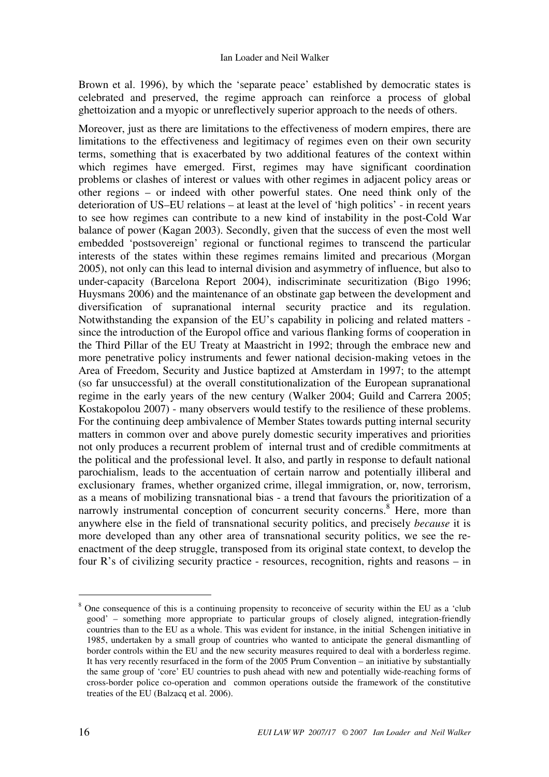Brown et al. 1996), by which the 'separate peace' established by democratic states is celebrated and preserved, the regime approach can reinforce a process of global ghettoization and a myopic or unreflectively superior approach to the needs of others.

Moreover, just as there are limitations to the effectiveness of modern empires, there are limitations to the effectiveness and legitimacy of regimes even on their own security terms, something that is exacerbated by two additional features of the context within which regimes have emerged. First, regimes may have significant coordination problems or clashes of interest or values with other regimes in adjacent policy areas or other regions – or indeed with other powerful states. One need think only of the deterioration of US–EU relations – at least at the level of 'high politics' - in recent years to see how regimes can contribute to a new kind of instability in the post-Cold War balance of power (Kagan 2003). Secondly, given that the success of even the most well embedded 'postsovereign' regional or functional regimes to transcend the particular interests of the states within these regimes remains limited and precarious (Morgan 2005), not only can this lead to internal division and asymmetry of influence, but also to under-capacity (Barcelona Report 2004), indiscriminate securitization (Bigo 1996; Huysmans 2006) and the maintenance of an obstinate gap between the development and diversification of supranational internal security practice and its regulation. Notwithstanding the expansion of the EU's capability in policing and related matters since the introduction of the Europol office and various flanking forms of cooperation in the Third Pillar of the EU Treaty at Maastricht in 1992; through the embrace new and more penetrative policy instruments and fewer national decision-making vetoes in the Area of Freedom, Security and Justice baptized at Amsterdam in 1997; to the attempt (so far unsuccessful) at the overall constitutionalization of the European supranational regime in the early years of the new century (Walker 2004; Guild and Carrera 2005; Kostakopolou 2007) - many observers would testify to the resilience of these problems. For the continuing deep ambivalence of Member States towards putting internal security matters in common over and above purely domestic security imperatives and priorities not only produces a recurrent problem of internal trust and of credible commitments at the political and the professional level. It also, and partly in response to default national parochialism, leads to the accentuation of certain narrow and potentially illiberal and exclusionary frames, whether organized crime, illegal immigration, or, now, terrorism, as a means of mobilizing transnational bias - a trend that favours the prioritization of a narrowly instrumental conception of concurrent security concerns.<sup>8</sup> Here, more than anywhere else in the field of transnational security politics, and precisely *because* it is more developed than any other area of transnational security politics, we see the reenactment of the deep struggle, transposed from its original state context, to develop the four R's of civilizing security practice - resources, recognition, rights and reasons – in

<sup>&</sup>lt;sup>8</sup> One consequence of this is a continuing propensity to reconceive of security within the EU as a 'club good' – something more appropriate to particular groups of closely aligned, integration-friendly countries than to the EU as a whole. This was evident for instance, in the initial Schengen initiative in 1985, undertaken by a small group of countries who wanted to anticipate the general dismantling of border controls within the EU and the new security measures required to deal with a borderless regime. It has very recently resurfaced in the form of the 2005 Prum Convention – an initiative by substantially the same group of 'core' EU countries to push ahead with new and potentially wide-reaching forms of cross-border police co-operation and common operations outside the framework of the constitutive treaties of the EU (Balzacq et al. 2006).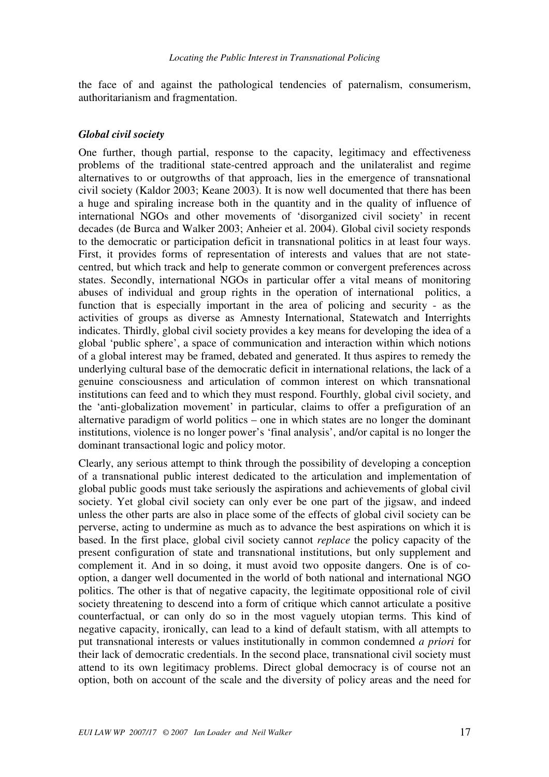the face of and against the pathological tendencies of paternalism, consumerism, authoritarianism and fragmentation.

# *Global civil society*

One further, though partial, response to the capacity, legitimacy and effectiveness problems of the traditional state-centred approach and the unilateralist and regime alternatives to or outgrowths of that approach, lies in the emergence of transnational civil society (Kaldor 2003; Keane 2003). It is now well documented that there has been a huge and spiraling increase both in the quantity and in the quality of influence of international NGOs and other movements of 'disorganized civil society' in recent decades (de Burca and Walker 2003; Anheier et al. 2004). Global civil society responds to the democratic or participation deficit in transnational politics in at least four ways. First, it provides forms of representation of interests and values that are not statecentred, but which track and help to generate common or convergent preferences across states. Secondly, international NGOs in particular offer a vital means of monitoring abuses of individual and group rights in the operation of international politics, a function that is especially important in the area of policing and security - as the activities of groups as diverse as Amnesty International, Statewatch and Interrights indicates. Thirdly, global civil society provides a key means for developing the idea of a global 'public sphere', a space of communication and interaction within which notions of a global interest may be framed, debated and generated. It thus aspires to remedy the underlying cultural base of the democratic deficit in international relations, the lack of a genuine consciousness and articulation of common interest on which transnational institutions can feed and to which they must respond. Fourthly, global civil society, and the 'anti-globalization movement' in particular, claims to offer a prefiguration of an alternative paradigm of world politics – one in which states are no longer the dominant institutions, violence is no longer power's 'final analysis', and/or capital is no longer the dominant transactional logic and policy motor.

Clearly, any serious attempt to think through the possibility of developing a conception of a transnational public interest dedicated to the articulation and implementation of global public goods must take seriously the aspirations and achievements of global civil society. Yet global civil society can only ever be one part of the jigsaw, and indeed unless the other parts are also in place some of the effects of global civil society can be perverse, acting to undermine as much as to advance the best aspirations on which it is based. In the first place, global civil society cannot *replace* the policy capacity of the present configuration of state and transnational institutions, but only supplement and complement it. And in so doing, it must avoid two opposite dangers. One is of cooption, a danger well documented in the world of both national and international NGO politics. The other is that of negative capacity, the legitimate oppositional role of civil society threatening to descend into a form of critique which cannot articulate a positive counterfactual, or can only do so in the most vaguely utopian terms. This kind of negative capacity, ironically, can lead to a kind of default statism, with all attempts to put transnational interests or values institutionally in common condemned *a priori* for their lack of democratic credentials. In the second place, transnational civil society must attend to its own legitimacy problems. Direct global democracy is of course not an option, both on account of the scale and the diversity of policy areas and the need for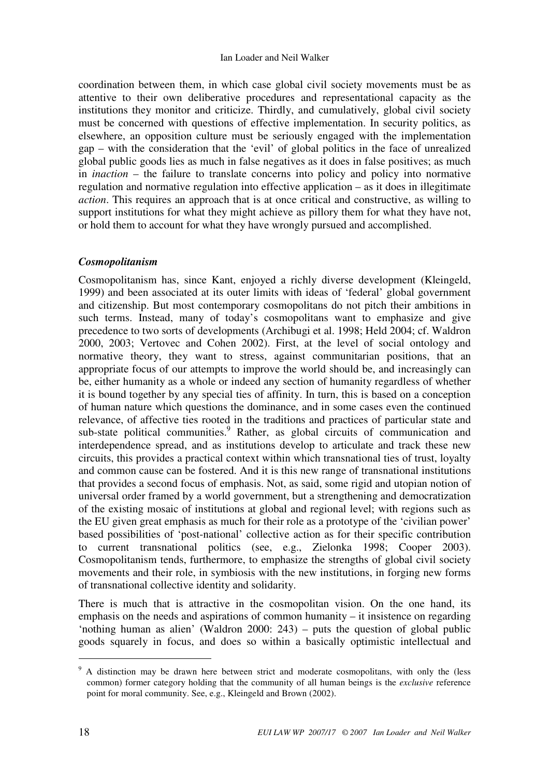#### Ian Loader and Neil Walker

coordination between them, in which case global civil society movements must be as attentive to their own deliberative procedures and representational capacity as the institutions they monitor and criticize. Thirdly, and cumulatively, global civil society must be concerned with questions of effective implementation. In security politics, as elsewhere, an opposition culture must be seriously engaged with the implementation gap – with the consideration that the 'evil' of global politics in the face of unrealized global public goods lies as much in false negatives as it does in false positives; as much in *inaction* – the failure to translate concerns into policy and policy into normative regulation and normative regulation into effective application – as it does in illegitimate *action*. This requires an approach that is at once critical and constructive, as willing to support institutions for what they might achieve as pillory them for what they have not, or hold them to account for what they have wrongly pursued and accomplished.

# *Cosmopolitanism*

Cosmopolitanism has, since Kant, enjoyed a richly diverse development (Kleingeld, 1999) and been associated at its outer limits with ideas of 'federal' global government and citizenship. But most contemporary cosmopolitans do not pitch their ambitions in such terms. Instead, many of today's cosmopolitans want to emphasize and give precedence to two sorts of developments (Archibugi et al. 1998; Held 2004; cf. Waldron 2000, 2003; Vertovec and Cohen 2002). First, at the level of social ontology and normative theory, they want to stress, against communitarian positions, that an appropriate focus of our attempts to improve the world should be, and increasingly can be, either humanity as a whole or indeed any section of humanity regardless of whether it is bound together by any special ties of affinity. In turn, this is based on a conception of human nature which questions the dominance, and in some cases even the continued relevance, of affective ties rooted in the traditions and practices of particular state and sub-state political communities.<sup>9</sup> Rather, as global circuits of communication and interdependence spread, and as institutions develop to articulate and track these new circuits, this provides a practical context within which transnational ties of trust, loyalty and common cause can be fostered. And it is this new range of transnational institutions that provides a second focus of emphasis. Not, as said, some rigid and utopian notion of universal order framed by a world government, but a strengthening and democratization of the existing mosaic of institutions at global and regional level; with regions such as the EU given great emphasis as much for their role as a prototype of the 'civilian power' based possibilities of 'post-national' collective action as for their specific contribution to current transnational politics (see, e.g., Zielonka 1998; Cooper 2003). Cosmopolitanism tends, furthermore, to emphasize the strengths of global civil society movements and their role, in symbiosis with the new institutions, in forging new forms of transnational collective identity and solidarity.

There is much that is attractive in the cosmopolitan vision. On the one hand, its emphasis on the needs and aspirations of common humanity – it insistence on regarding 'nothing human as alien' (Waldron 2000: 243) – puts the question of global public goods squarely in focus, and does so within a basically optimistic intellectual and

<sup>&</sup>lt;sup>9</sup> A distinction may be drawn here between strict and moderate cosmopolitans, with only the (less common) former category holding that the community of all human beings is the *exclusive* reference point for moral community. See, e.g., Kleingeld and Brown (2002).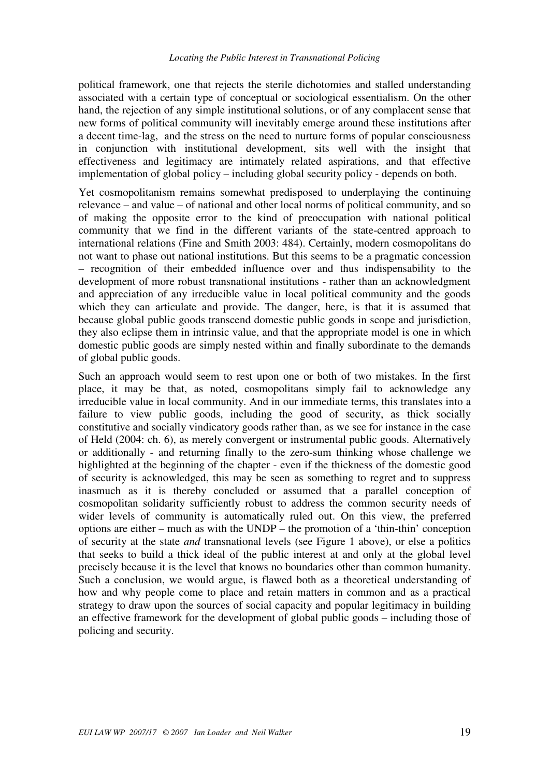political framework, one that rejects the sterile dichotomies and stalled understanding associated with a certain type of conceptual or sociological essentialism. On the other hand, the rejection of any simple institutional solutions, or of any complacent sense that new forms of political community will inevitably emerge around these institutions after a decent time-lag, and the stress on the need to nurture forms of popular consciousness in conjunction with institutional development, sits well with the insight that effectiveness and legitimacy are intimately related aspirations, and that effective implementation of global policy – including global security policy - depends on both.

Yet cosmopolitanism remains somewhat predisposed to underplaying the continuing relevance – and value – of national and other local norms of political community, and so of making the opposite error to the kind of preoccupation with national political community that we find in the different variants of the state-centred approach to international relations (Fine and Smith 2003: 484). Certainly, modern cosmopolitans do not want to phase out national institutions. But this seems to be a pragmatic concession – recognition of their embedded influence over and thus indispensability to the development of more robust transnational institutions - rather than an acknowledgment and appreciation of any irreducible value in local political community and the goods which they can articulate and provide. The danger, here, is that it is assumed that because global public goods transcend domestic public goods in scope and jurisdiction, they also eclipse them in intrinsic value, and that the appropriate model is one in which domestic public goods are simply nested within and finally subordinate to the demands of global public goods.

Such an approach would seem to rest upon one or both of two mistakes. In the first place, it may be that, as noted, cosmopolitans simply fail to acknowledge any irreducible value in local community. And in our immediate terms, this translates into a failure to view public goods, including the good of security, as thick socially constitutive and socially vindicatory goods rather than, as we see for instance in the case of Held (2004: ch. 6), as merely convergent or instrumental public goods. Alternatively or additionally - and returning finally to the zero-sum thinking whose challenge we highlighted at the beginning of the chapter - even if the thickness of the domestic good of security is acknowledged, this may be seen as something to regret and to suppress inasmuch as it is thereby concluded or assumed that a parallel conception of cosmopolitan solidarity sufficiently robust to address the common security needs of wider levels of community is automatically ruled out. On this view, the preferred options are either – much as with the UNDP – the promotion of a 'thin-thin' conception of security at the state *and* transnational levels (see Figure 1 above), or else a politics that seeks to build a thick ideal of the public interest at and only at the global level precisely because it is the level that knows no boundaries other than common humanity. Such a conclusion, we would argue, is flawed both as a theoretical understanding of how and why people come to place and retain matters in common and as a practical strategy to draw upon the sources of social capacity and popular legitimacy in building an effective framework for the development of global public goods – including those of policing and security.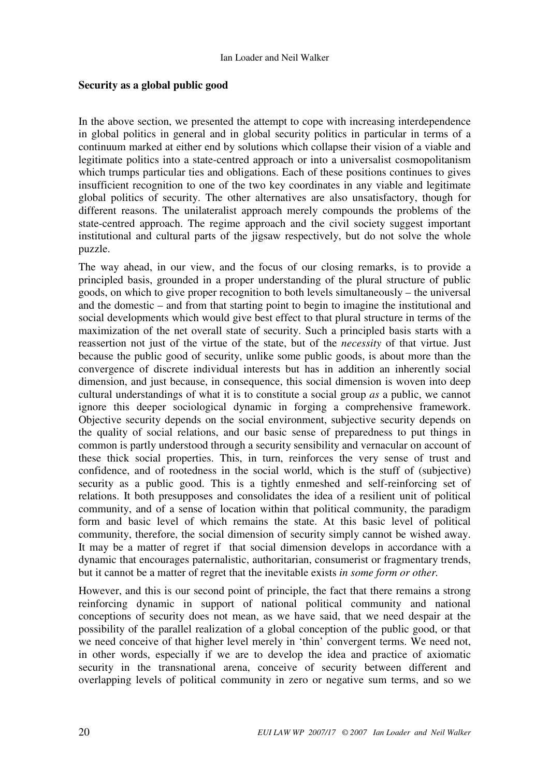# **Security as a global public good**

In the above section, we presented the attempt to cope with increasing interdependence in global politics in general and in global security politics in particular in terms of a continuum marked at either end by solutions which collapse their vision of a viable and legitimate politics into a state-centred approach or into a universalist cosmopolitanism which trumps particular ties and obligations. Each of these positions continues to gives insufficient recognition to one of the two key coordinates in any viable and legitimate global politics of security. The other alternatives are also unsatisfactory, though for different reasons. The unilateralist approach merely compounds the problems of the state-centred approach. The regime approach and the civil society suggest important institutional and cultural parts of the jigsaw respectively, but do not solve the whole puzzle.

The way ahead, in our view, and the focus of our closing remarks, is to provide a principled basis, grounded in a proper understanding of the plural structure of public goods, on which to give proper recognition to both levels simultaneously – the universal and the domestic – and from that starting point to begin to imagine the institutional and social developments which would give best effect to that plural structure in terms of the maximization of the net overall state of security. Such a principled basis starts with a reassertion not just of the virtue of the state, but of the *necessity* of that virtue. Just because the public good of security, unlike some public goods, is about more than the convergence of discrete individual interests but has in addition an inherently social dimension, and just because, in consequence, this social dimension is woven into deep cultural understandings of what it is to constitute a social group *as* a public, we cannot ignore this deeper sociological dynamic in forging a comprehensive framework. Objective security depends on the social environment, subjective security depends on the quality of social relations, and our basic sense of preparedness to put things in common is partly understood through a security sensibility and vernacular on account of these thick social properties. This, in turn, reinforces the very sense of trust and confidence, and of rootedness in the social world, which is the stuff of (subjective) security as a public good. This is a tightly enmeshed and self-reinforcing set of relations. It both presupposes and consolidates the idea of a resilient unit of political community, and of a sense of location within that political community, the paradigm form and basic level of which remains the state. At this basic level of political community, therefore, the social dimension of security simply cannot be wished away. It may be a matter of regret if that social dimension develops in accordance with a dynamic that encourages paternalistic, authoritarian, consumerist or fragmentary trends, but it cannot be a matter of regret that the inevitable exists *in some form or other.* 

However, and this is our second point of principle, the fact that there remains a strong reinforcing dynamic in support of national political community and national conceptions of security does not mean, as we have said, that we need despair at the possibility of the parallel realization of a global conception of the public good, or that we need conceive of that higher level merely in 'thin' convergent terms. We need not, in other words, especially if we are to develop the idea and practice of axiomatic security in the transnational arena, conceive of security between different and overlapping levels of political community in zero or negative sum terms, and so we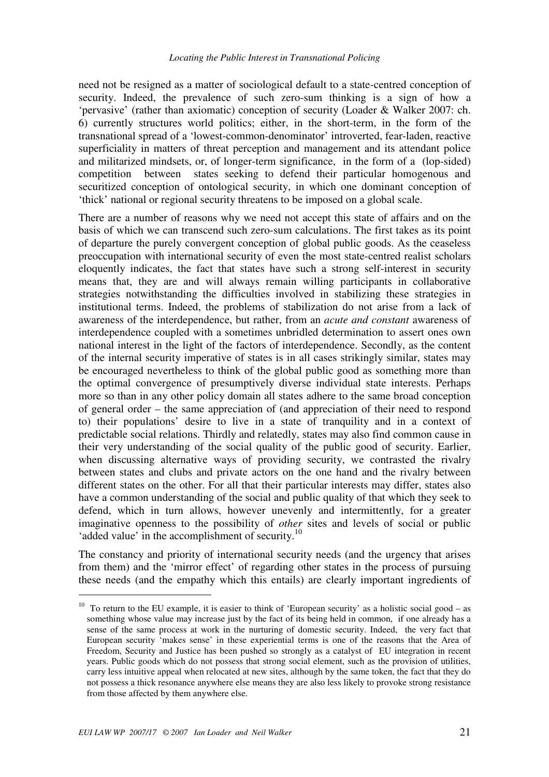need not be resigned as a matter of sociological default to a state-centred conception of security. Indeed, the prevalence of such zero-sum thinking is a sign of how a 'pervasive' (rather than axiomatic) conception of security (Loader & Walker 2007: ch. 6) currently structures world politics; either, in the short-term, in the form of the transnational spread of a 'lowest-common-denominator' introverted, fear-laden, reactive superficiality in matters of threat perception and management and its attendant police and militarized mindsets, or, of longer-term significance, in the form of a (lop-sided) competition between states seeking to defend their particular homogenous and securitized conception of ontological security, in which one dominant conception of 'thick' national or regional security threatens to be imposed on a global scale.

There are a number of reasons why we need not accept this state of affairs and on the basis of which we can transcend such zero-sum calculations. The first takes as its point of departure the purely convergent conception of global public goods. As the ceaseless preoccupation with international security of even the most state-centred realist scholars eloquently indicates, the fact that states have such a strong self-interest in security means that, they are and will always remain willing participants in collaborative strategies notwithstanding the difficulties involved in stabilizing these strategies in institutional terms. Indeed, the problems of stabilization do not arise from a lack of awareness of the interdependence, but rather, from an *acute and constant* awareness of interdependence coupled with a sometimes unbridled determination to assert ones own national interest in the light of the factors of interdependence. Secondly, as the content of the internal security imperative of states is in all cases strikingly similar, states may be encouraged nevertheless to think of the global public good as something more than the optimal convergence of presumptively diverse individual state interests. Perhaps more so than in any other policy domain all states adhere to the same broad conception of general order – the same appreciation of (and appreciation of their need to respond to) their populations' desire to live in a state of tranquility and in a context of predictable social relations. Thirdly and relatedly, states may also find common cause in their very understanding of the social quality of the public good of security. Earlier, when discussing alternative ways of providing security, we contrasted the rivalry between states and clubs and private actors on the one hand and the rivalry between different states on the other. For all that their particular interests may differ, states also have a common understanding of the social and public quality of that which they seek to defend, which in turn allows, however unevenly and intermittently, for a greater imaginative openness to the possibility of *other* sites and levels of social or public 'added value' in the accomplishment of security.<sup>10</sup>

The constancy and priority of international security needs (and the urgency that arises from them) and the 'mirror effect' of regarding other states in the process of pursuing these needs (and the empathy which this entails) are clearly important ingredients of

<sup>&</sup>lt;sup>10</sup> To return to the EU example, it is easier to think of 'European security' as a holistic social good – as something whose value may increase just by the fact of its being held in common, if one already has a sense of the same process at work in the nurturing of domestic security. Indeed, the very fact that European security 'makes sense' in these experiential terms is one of the reasons that the Area of Freedom, Security and Justice has been pushed so strongly as a catalyst of EU integration in recent years. Public goods which do not possess that strong social element, such as the provision of utilities, carry less intuitive appeal when relocated at new sites, although by the same token, the fact that they do not possess a thick resonance anywhere else means they are also less likely to provoke strong resistance from those affected by them anywhere else.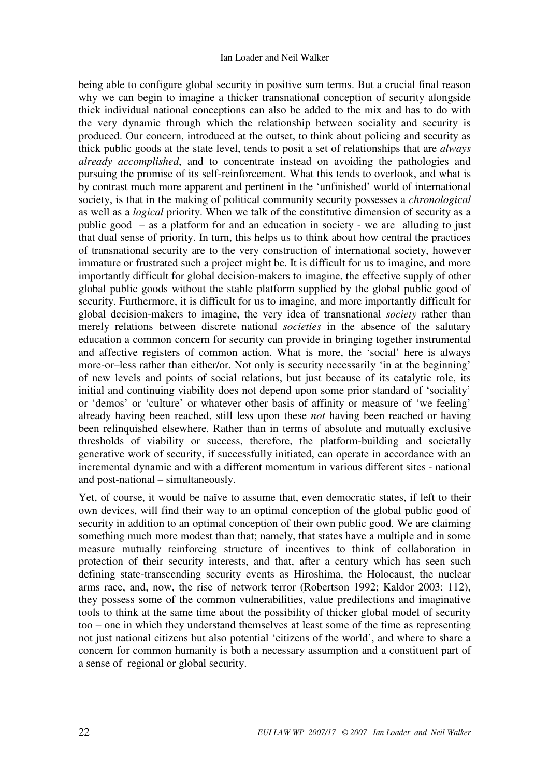#### Ian Loader and Neil Walker

being able to configure global security in positive sum terms. But a crucial final reason why we can begin to imagine a thicker transnational conception of security alongside thick individual national conceptions can also be added to the mix and has to do with the very dynamic through which the relationship between sociality and security is produced. Our concern, introduced at the outset, to think about policing and security as thick public goods at the state level, tends to posit a set of relationships that are *always already accomplished*, and to concentrate instead on avoiding the pathologies and pursuing the promise of its self-reinforcement. What this tends to overlook, and what is by contrast much more apparent and pertinent in the 'unfinished' world of international society, is that in the making of political community security possesses a *chronological*  as well as a *logical* priority. When we talk of the constitutive dimension of security as a public good – as a platform for and an education in society - we are alluding to just that dual sense of priority. In turn, this helps us to think about how central the practices of transnational security are to the very construction of international society, however immature or frustrated such a project might be. It is difficult for us to imagine, and more importantly difficult for global decision-makers to imagine, the effective supply of other global public goods without the stable platform supplied by the global public good of security. Furthermore, it is difficult for us to imagine, and more importantly difficult for global decision-makers to imagine, the very idea of transnational *society* rather than merely relations between discrete national *societies* in the absence of the salutary education a common concern for security can provide in bringing together instrumental and affective registers of common action. What is more, the 'social' here is always more-or–less rather than either/or. Not only is security necessarily 'in at the beginning' of new levels and points of social relations, but just because of its catalytic role, its initial and continuing viability does not depend upon some prior standard of 'sociality' or 'demos' or 'culture' or whatever other basis of affinity or measure of 'we feeling' already having been reached, still less upon these *not* having been reached or having been relinquished elsewhere. Rather than in terms of absolute and mutually exclusive thresholds of viability or success, therefore, the platform-building and societally generative work of security, if successfully initiated, can operate in accordance with an incremental dynamic and with a different momentum in various different sites - national and post-national – simultaneously.

Yet, of course, it would be naïve to assume that, even democratic states, if left to their own devices, will find their way to an optimal conception of the global public good of security in addition to an optimal conception of their own public good. We are claiming something much more modest than that; namely, that states have a multiple and in some measure mutually reinforcing structure of incentives to think of collaboration in protection of their security interests, and that, after a century which has seen such defining state-transcending security events as Hiroshima, the Holocaust, the nuclear arms race, and, now, the rise of network terror (Robertson 1992; Kaldor 2003: 112), they possess some of the common vulnerabilities, value predilections and imaginative tools to think at the same time about the possibility of thicker global model of security too – one in which they understand themselves at least some of the time as representing not just national citizens but also potential 'citizens of the world', and where to share a concern for common humanity is both a necessary assumption and a constituent part of a sense of regional or global security.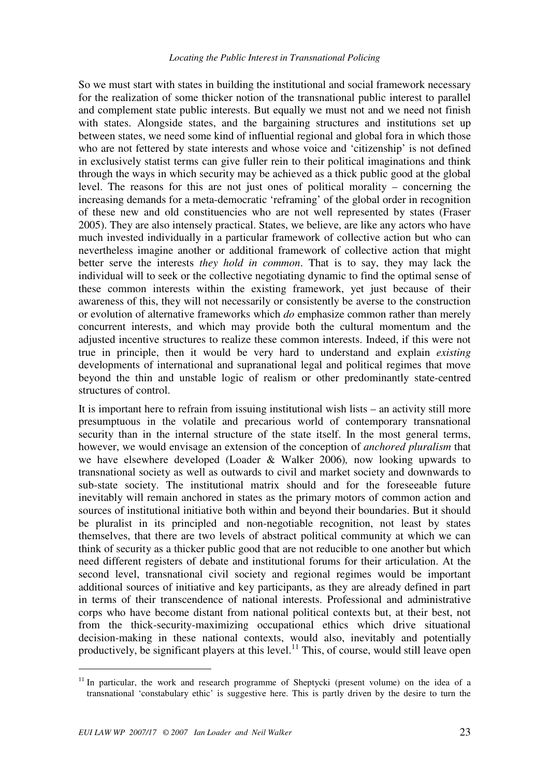So we must start with states in building the institutional and social framework necessary for the realization of some thicker notion of the transnational public interest to parallel and complement state public interests. But equally we must not and we need not finish with states. Alongside states, and the bargaining structures and institutions set up between states, we need some kind of influential regional and global fora in which those who are not fettered by state interests and whose voice and 'citizenship' is not defined in exclusively statist terms can give fuller rein to their political imaginations and think through the ways in which security may be achieved as a thick public good at the global level. The reasons for this are not just ones of political morality – concerning the increasing demands for a meta-democratic 'reframing' of the global order in recognition of these new and old constituencies who are not well represented by states (Fraser 2005). They are also intensely practical. States, we believe, are like any actors who have much invested individually in a particular framework of collective action but who can nevertheless imagine another or additional framework of collective action that might better serve the interests *they hold in common*. That is to say, they may lack the individual will to seek or the collective negotiating dynamic to find the optimal sense of these common interests within the existing framework, yet just because of their awareness of this, they will not necessarily or consistently be averse to the construction or evolution of alternative frameworks which *do* emphasize common rather than merely concurrent interests, and which may provide both the cultural momentum and the adjusted incentive structures to realize these common interests. Indeed, if this were not true in principle, then it would be very hard to understand and explain *existing*  developments of international and supranational legal and political regimes that move beyond the thin and unstable logic of realism or other predominantly state-centred structures of control.

It is important here to refrain from issuing institutional wish lists – an activity still more presumptuous in the volatile and precarious world of contemporary transnational security than in the internal structure of the state itself. In the most general terms, however, we would envisage an extension of the conception of *anchored pluralism* that we have elsewhere developed (Loader & Walker 2006)*,* now looking upwards to transnational society as well as outwards to civil and market society and downwards to sub-state society. The institutional matrix should and for the foreseeable future inevitably will remain anchored in states as the primary motors of common action and sources of institutional initiative both within and beyond their boundaries. But it should be pluralist in its principled and non-negotiable recognition, not least by states themselves, that there are two levels of abstract political community at which we can think of security as a thicker public good that are not reducible to one another but which need different registers of debate and institutional forums for their articulation. At the second level, transnational civil society and regional regimes would be important additional sources of initiative and key participants, as they are already defined in part in terms of their transcendence of national interests. Professional and administrative corps who have become distant from national political contexts but, at their best, not from the thick-security-maximizing occupational ethics which drive situational decision-making in these national contexts, would also, inevitably and potentially productively, be significant players at this level.<sup>11</sup> This, of course, would still leave open

 $11$  In particular, the work and research programme of Sheptycki (present volume) on the idea of a transnational 'constabulary ethic' is suggestive here. This is partly driven by the desire to turn the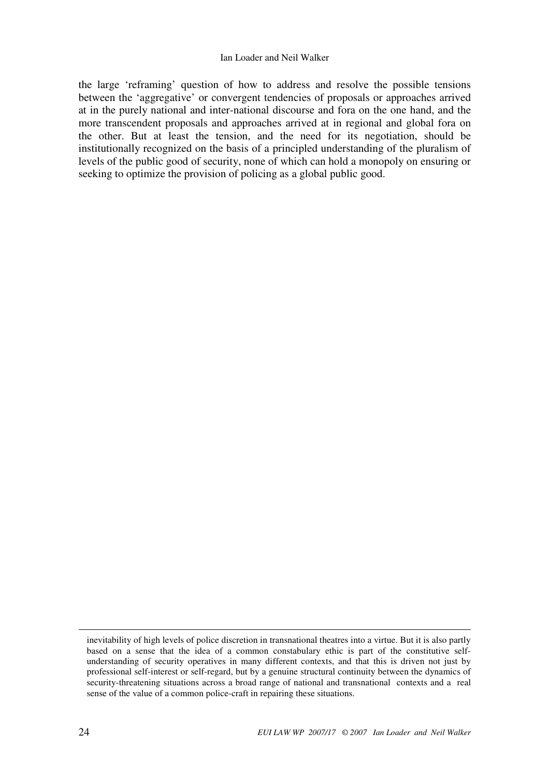the large 'reframing' question of how to address and resolve the possible tensions between the 'aggregative' or convergent tendencies of proposals or approaches arrived at in the purely national and inter-national discourse and fora on the one hand, and the more transcendent proposals and approaches arrived at in regional and global fora on the other. But at least the tension, and the need for its negotiation, should be institutionally recognized on the basis of a principled understanding of the pluralism of levels of the public good of security, none of which can hold a monopoly on ensuring or seeking to optimize the provision of policing as a global public good.

<u>.</u>

inevitability of high levels of police discretion in transnational theatres into a virtue. But it is also partly based on a sense that the idea of a common constabulary ethic is part of the constitutive selfunderstanding of security operatives in many different contexts, and that this is driven not just by professional self-interest or self-regard, but by a genuine structural continuity between the dynamics of security-threatening situations across a broad range of national and transnational contexts and a real sense of the value of a common police-craft in repairing these situations.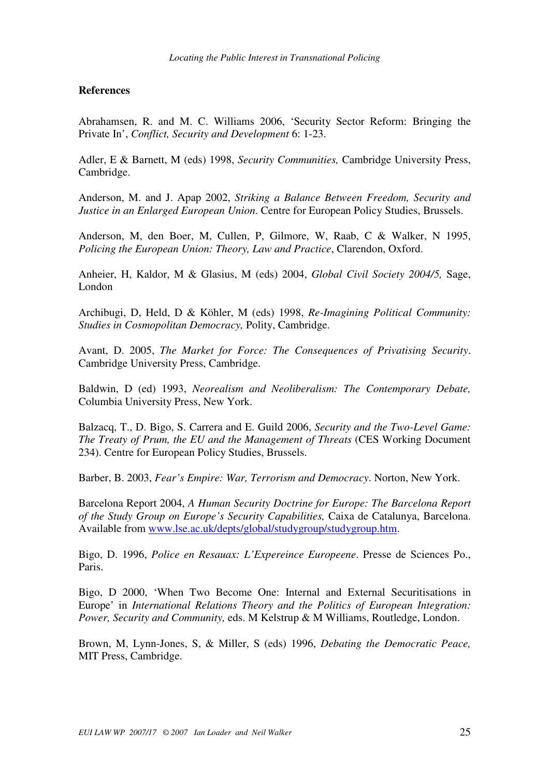# **References**

Abrahamsen, R. and M. C. Williams 2006, 'Security Sector Reform: Bringing the Private In', *Conflict, Security and Development* 6: 1-23.

Adler, E & Barnett, M (eds) 1998, *Security Communities,* Cambridge University Press, Cambridge.

Anderson, M. and J. Apap 2002, *Striking a Balance Between Freedom, Security and Justice in an Enlarged European Union*. Centre for European Policy Studies, Brussels.

Anderson, M, den Boer, M, Cullen, P, Gilmore, W, Raab, C & Walker, N 1995, *Policing the European Union: Theory, Law and Practice*, Clarendon, Oxford.

Anheier, H, Kaldor, M & Glasius, M (eds) 2004, *Global Civil Society 2004/5,* Sage, London

Archibugi, D, Held, D & Köhler, M (eds) 1998, *Re-Imagining Political Community: Studies in Cosmopolitan Democracy,* Polity, Cambridge.

Avant, D. 2005, *The Market for Force: The Consequences of Privatising Security*. Cambridge University Press, Cambridge.

Baldwin, D (ed) 1993, *Neorealism and Neoliberalism: The Contemporary Debate,* Columbia University Press, New York.

Balzacq, T., D. Bigo, S. Carrera and E. Guild 2006, *Security and the Two-Level Game: The Treaty of Prum, the EU and the Management of Threats* (CES Working Document 234). Centre for European Policy Studies, Brussels.

Barber, B. 2003, *Fear's Empire: War, Terrorism and Democracy*. Norton, New York.

Barcelona Report 2004, *A Human Security Doctrine for Europe: The Barcelona Report of the Study Group on Europe's Security Capabilities,* Caixa de Catalunya, Barcelona. Available from www.lse.ac.uk/depts/global/studygroup/studygroup.htm.

Bigo, D. 1996, *Police en Resauax: L'Expereince Europeene*. Presse de Sciences Po., Paris.

Bigo, D 2000, 'When Two Become One: Internal and External Securitisations in Europe' in *International Relations Theory and the Politics of European Integration: Power, Security and Community,* eds. M Kelstrup & M Williams, Routledge, London.

Brown, M, Lynn-Jones, S, & Miller, S (eds) 1996, *Debating the Democratic Peace,* MIT Press, Cambridge.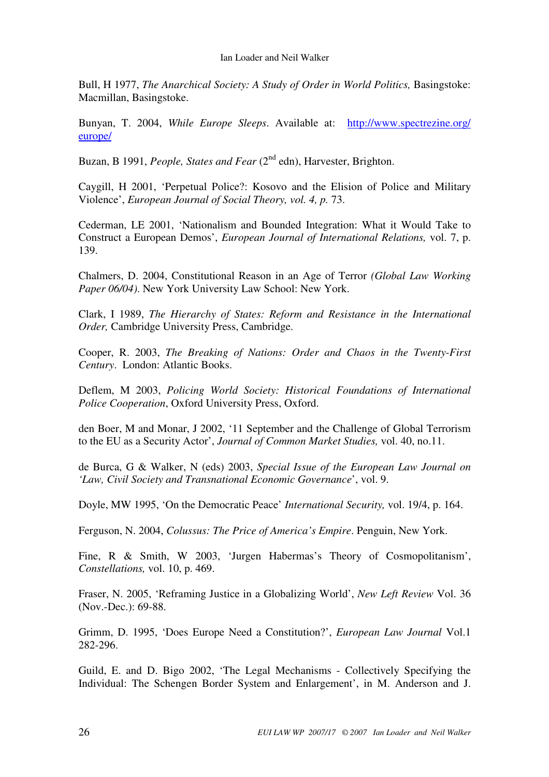Bull, H 1977, *The Anarchical Society: A Study of Order in World Politics,* Basingstoke: Macmillan, Basingstoke.

Bunyan, T. 2004, *While Europe Sleeps*. Available at: http://www.spectrezine.org/ europe/

Buzan, B 1991, *People, States and Fear* (2<sup>nd</sup> edn), Harvester, Brighton.

Caygill, H 2001, 'Perpetual Police?: Kosovo and the Elision of Police and Military Violence', *European Journal of Social Theory, vol. 4, p.* 73.

Cederman, LE 2001, 'Nationalism and Bounded Integration: What it Would Take to Construct a European Demos', *European Journal of International Relations,* vol. 7, p. 139.

Chalmers, D. 2004, Constitutional Reason in an Age of Terror *(Global Law Working Paper 06/04)*. New York University Law School: New York.

Clark, I 1989, *The Hierarchy of States: Reform and Resistance in the International Order,* Cambridge University Press, Cambridge.

Cooper, R. 2003, *The Breaking of Nations: Order and Chaos in the Twenty-First Century*. London: Atlantic Books.

Deflem, M 2003, *Policing World Society: Historical Foundations of International Police Cooperation*, Oxford University Press, Oxford.

den Boer, M and Monar, J 2002, '11 September and the Challenge of Global Terrorism to the EU as a Security Actor', *Journal of Common Market Studies,* vol. 40, no.11.

de Burca, G & Walker, N (eds) 2003, *Special Issue of the European Law Journal on 'Law, Civil Society and Transnational Economic Governance*', vol. 9.

Doyle, MW 1995, 'On the Democratic Peace' *International Security,* vol. 19/4, p. 164.

Ferguson, N. 2004, *Colussus: The Price of America's Empire*. Penguin, New York.

Fine, R & Smith, W 2003, 'Jurgen Habermas's Theory of Cosmopolitanism', *Constellations,* vol. 10, p. 469.

Fraser, N. 2005, 'Reframing Justice in a Globalizing World', *New Left Review* Vol. 36 (Nov.-Dec.): 69-88.

Grimm, D. 1995, 'Does Europe Need a Constitution?', *European Law Journal* Vol.1 282-296.

Guild, E. and D. Bigo 2002, 'The Legal Mechanisms - Collectively Specifying the Individual: The Schengen Border System and Enlargement', in M. Anderson and J.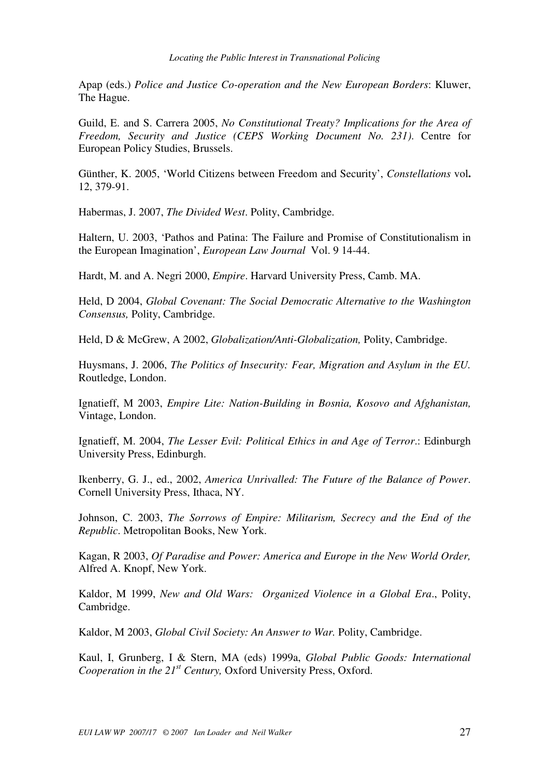Apap (eds.) *Police and Justice Co-operation and the New European Borders*: Kluwer, The Hague.

Guild, E. and S. Carrera 2005, *No Constitutional Treaty? Implications for the Area of Freedom, Security and Justice (CEPS Working Document No. 231)*. Centre for European Policy Studies, Brussels.

Günther, K. 2005, 'World Citizens between Freedom and Security', *Constellations* vol**.**  12, 379-91.

Habermas, J. 2007, *The Divided West*. Polity, Cambridge.

Haltern, U. 2003, 'Pathos and Patina: The Failure and Promise of Constitutionalism in the European Imagination', *European Law Journal* Vol. 9 14-44.

Hardt, M. and A. Negri 2000, *Empire*. Harvard University Press, Camb. MA.

Held, D 2004, *Global Covenant: The Social Democratic Alternative to the Washington Consensus,* Polity, Cambridge.

Held, D & McGrew, A 2002, *Globalization/Anti-Globalization,* Polity, Cambridge.

Huysmans, J. 2006, *The Politics of Insecurity: Fear, Migration and Asylum in the EU.* Routledge, London.

Ignatieff, M 2003, *Empire Lite: Nation-Building in Bosnia, Kosovo and Afghanistan,*  Vintage, London.

Ignatieff, M. 2004, *The Lesser Evil: Political Ethics in and Age of Terror*.: Edinburgh University Press, Edinburgh.

Ikenberry, G. J., ed., 2002, *America Unrivalled: The Future of the Balance of Power*. Cornell University Press, Ithaca, NY.

Johnson, C. 2003, *The Sorrows of Empire: Militarism, Secrecy and the End of the Republic*. Metropolitan Books, New York.

Kagan, R 2003, *Of Paradise and Power: America and Europe in the New World Order,* Alfred A. Knopf, New York.

Kaldor, M 1999, *New and Old Wars: Organized Violence in a Global Era*., Polity, Cambridge.

Kaldor, M 2003, *Global Civil Society: An Answer to War.* Polity, Cambridge.

Kaul, I, Grunberg, I & Stern, MA (eds) 1999a, *Global Public Goods: International Cooperation in the 21st Century,* Oxford University Press, Oxford.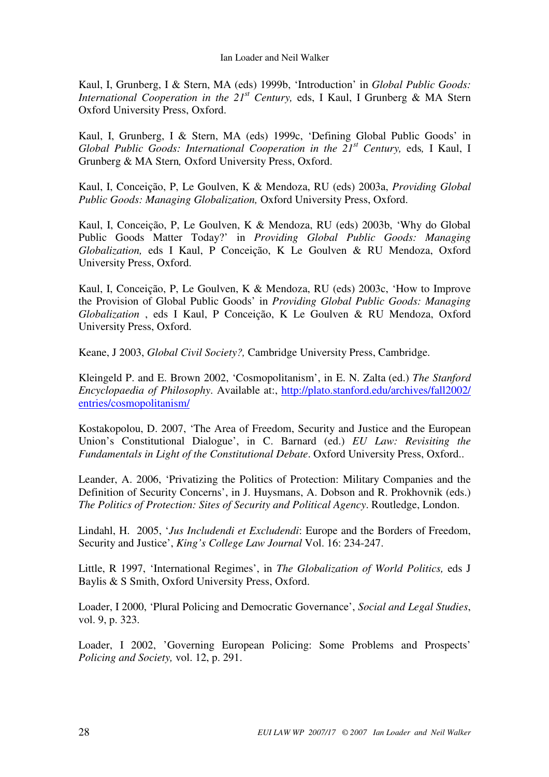Kaul, I, Grunberg, I & Stern, MA (eds) 1999b, 'Introduction' in *Global Public Goods: International Cooperation in the 21st Century,* eds, I Kaul, I Grunberg & MA Stern Oxford University Press, Oxford.

Kaul, I, Grunberg, I & Stern, MA (eds) 1999c, 'Defining Global Public Goods' in *Global Public Goods: International Cooperation in the 21st Century,* eds*,* I Kaul, I Grunberg & MA Stern*,* Oxford University Press, Oxford.

Kaul, I, Conceição, P, Le Goulven, K & Mendoza, RU (eds) 2003a, *Providing Global Public Goods: Managing Globalization,* Oxford University Press, Oxford.

Kaul, I, Conceição, P, Le Goulven, K & Mendoza, RU (eds) 2003b, 'Why do Global Public Goods Matter Today?' in *Providing Global Public Goods: Managing Globalization,* eds I Kaul, P Conceição, K Le Goulven & RU Mendoza, Oxford University Press, Oxford.

Kaul, I, Conceição, P, Le Goulven, K & Mendoza, RU (eds) 2003c, 'How to Improve the Provision of Global Public Goods' in *Providing Global Public Goods: Managing Globalization* , eds I Kaul, P Conceição, K Le Goulven & RU Mendoza, Oxford University Press, Oxford.

Keane, J 2003, *Global Civil Society?,* Cambridge University Press, Cambridge.

Kleingeld P. and E. Brown 2002, 'Cosmopolitanism', in E. N. Zalta (ed.) *The Stanford Encyclopaedia of Philosophy*. Available at:, http://plato.stanford.edu/archives/fall2002/ entries/cosmopolitanism/

Kostakopolou, D. 2007, 'The Area of Freedom, Security and Justice and the European Union's Constitutional Dialogue', in C. Barnard (ed.) *EU Law: Revisiting the Fundamentals in Light of the Constitutional Debate*. Oxford University Press, Oxford..

Leander, A. 2006, 'Privatizing the Politics of Protection: Military Companies and the Definition of Security Concerns', in J. Huysmans, A. Dobson and R. Prokhovnik (eds.) *The Politics of Protection: Sites of Security and Political Agency*. Routledge, London.

Lindahl, H. 2005, '*Jus Includendi et Excludendi*: Europe and the Borders of Freedom, Security and Justice', *King's College Law Journal* Vol. 16: 234-247.

Little, R 1997, 'International Regimes', in *The Globalization of World Politics,* eds J Baylis & S Smith, Oxford University Press, Oxford.

Loader, I 2000, 'Plural Policing and Democratic Governance', *Social and Legal Studies*, vol. 9, p. 323.

Loader, I 2002, 'Governing European Policing: Some Problems and Prospects' *Policing and Society,* vol. 12, p. 291.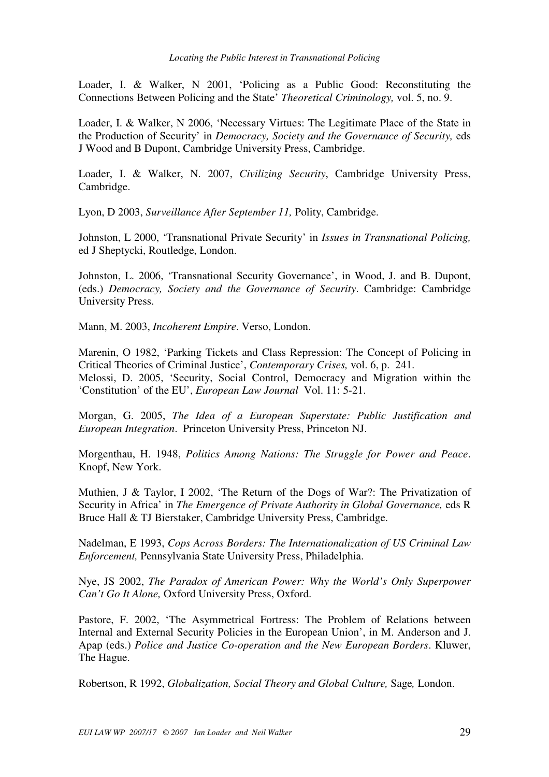Loader, I. & Walker, N 2001, 'Policing as a Public Good: Reconstituting the Connections Between Policing and the State' *Theoretical Criminology,* vol. 5, no. 9.

Loader, I. & Walker, N 2006, 'Necessary Virtues: The Legitimate Place of the State in the Production of Security' in *Democracy, Society and the Governance of Security,* eds J Wood and B Dupont, Cambridge University Press, Cambridge.

Loader, I. & Walker, N. 2007, *Civilizing Security*, Cambridge University Press, Cambridge.

Lyon, D 2003, *Surveillance After September 11,* Polity, Cambridge.

Johnston, L 2000, 'Transnational Private Security' in *Issues in Transnational Policing,* ed J Sheptycki, Routledge, London.

Johnston, L. 2006, 'Transnational Security Governance', in Wood, J. and B. Dupont, (eds.) *Democracy, Society and the Governance of Security*. Cambridge: Cambridge University Press.

Mann, M. 2003, *Incoherent Empire*. Verso, London.

Marenin, O 1982, 'Parking Tickets and Class Repression: The Concept of Policing in Critical Theories of Criminal Justice', *Contemporary Crises,* vol. 6, p. 241. Melossi, D. 2005, 'Security, Social Control, Democracy and Migration within the 'Constitution' of the EU', *European Law Journal* Vol. 11: 5-21.

Morgan, G. 2005, *The Idea of a European Superstate: Public Justification and European Integration*. Princeton University Press, Princeton NJ.

Morgenthau, H. 1948, *Politics Among Nations: The Struggle for Power and Peace*. Knopf, New York.

Muthien, J & Taylor, I 2002, 'The Return of the Dogs of War?: The Privatization of Security in Africa' in *The Emergence of Private Authority in Global Governance,* eds R Bruce Hall & TJ Bierstaker, Cambridge University Press, Cambridge.

Nadelman, E 1993, *Cops Across Borders: The Internationalization of US Criminal Law Enforcement,* Pennsylvania State University Press, Philadelphia.

Nye, JS 2002, *The Paradox of American Power: Why the World's Only Superpower Can't Go It Alone,* Oxford University Press, Oxford.

Pastore, F. 2002, 'The Asymmetrical Fortress: The Problem of Relations between Internal and External Security Policies in the European Union', in M. Anderson and J. Apap (eds.) *Police and Justice Co-operation and the New European Borders*. Kluwer, The Hague.

Robertson, R 1992, *Globalization, Social Theory and Global Culture,* Sage*,* London.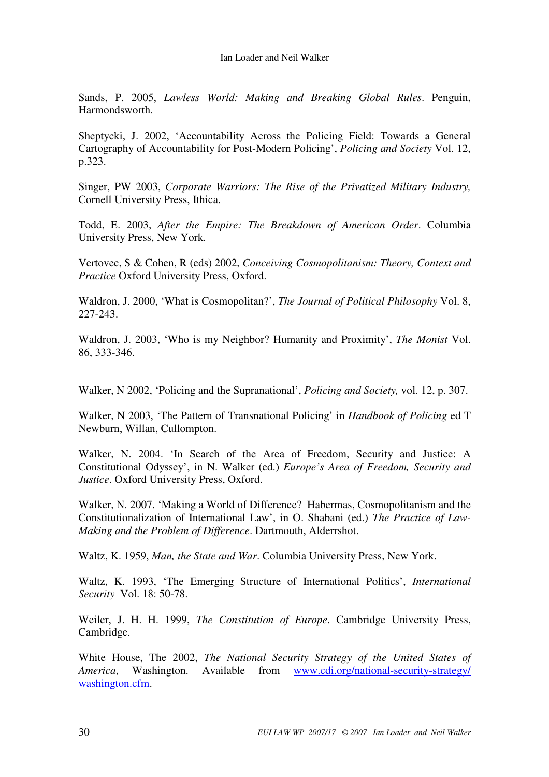Sands, P. 2005, *Lawless World: Making and Breaking Global Rules*. Penguin, Harmondsworth.

Sheptycki, J. 2002, 'Accountability Across the Policing Field: Towards a General Cartography of Accountability for Post-Modern Policing', *Policing and Society* Vol. 12, p.323.

Singer, PW 2003, *Corporate Warriors: The Rise of the Privatized Military Industry,* Cornell University Press, Ithica.

Todd, E. 2003, *After the Empire: The Breakdown of American Order*. Columbia University Press, New York.

Vertovec, S & Cohen, R (eds) 2002, *Conceiving Cosmopolitanism: Theory, Context and Practice* Oxford University Press, Oxford.

Waldron, J. 2000, 'What is Cosmopolitan?', *The Journal of Political Philosophy* Vol. 8, 227-243.

Waldron, J. 2003, 'Who is my Neighbor? Humanity and Proximity', *The Monist* Vol. 86, 333-346.

Walker, N 2002, 'Policing and the Supranational', *Policing and Society,* vol*.* 12, p. 307.

Walker, N 2003, 'The Pattern of Transnational Policing' in *Handbook of Policing* ed T Newburn, Willan, Cullompton.

Walker, N. 2004. 'In Search of the Area of Freedom, Security and Justice: A Constitutional Odyssey', in N. Walker (ed.) *Europe's Area of Freedom, Security and Justice*. Oxford University Press, Oxford.

Walker, N. 2007. 'Making a World of Difference? Habermas, Cosmopolitanism and the Constitutionalization of International Law', in O. Shabani (ed.) *The Practice of Law-Making and the Problem of Difference*. Dartmouth, Alderrshot.

Waltz, K. 1959, *Man, the State and War*. Columbia University Press, New York.

Waltz, K. 1993, 'The Emerging Structure of International Politics', *International Security* Vol. 18: 50-78.

Weiler, J. H. H. 1999, *The Constitution of Europe*. Cambridge University Press, Cambridge.

White House, The 2002, *The National Security Strategy of the United States of America*, Washington. Available from www.cdi.org/national-security-strategy/ washington.cfm.